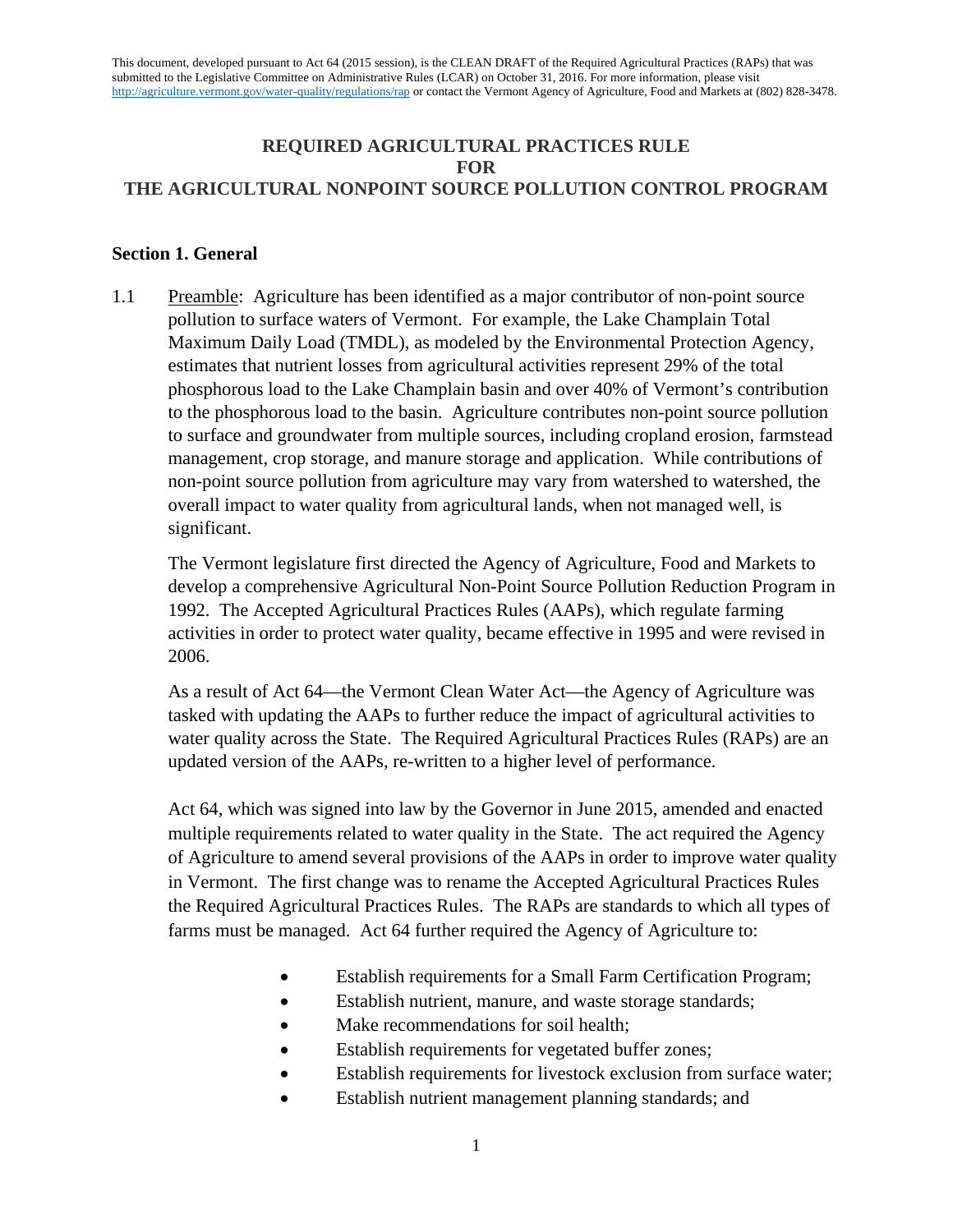# **REQUIRED AGRICULTURAL PRACTICES RULE FOR THE AGRICULTURAL NONPOINT SOURCE POLLUTION CONTROL PROGRAM**

## **Section 1. General**

1.1 Preamble: Agriculture has been identified as a major contributor of non-point source pollution to surface waters of Vermont. For example, the Lake Champlain Total Maximum Daily Load (TMDL), as modeled by the Environmental Protection Agency, estimates that nutrient losses from agricultural activities represent 29% of the total phosphorous load to the Lake Champlain basin and over 40% of Vermont's contribution to the phosphorous load to the basin. Agriculture contributes non-point source pollution to surface and groundwater from multiple sources, including cropland erosion, farmstead management, crop storage, and manure storage and application. While contributions of non-point source pollution from agriculture may vary from watershed to watershed, the overall impact to water quality from agricultural lands, when not managed well, is significant.

The Vermont legislature first directed the Agency of Agriculture, Food and Markets to develop a comprehensive Agricultural Non-Point Source Pollution Reduction Program in 1992. The Accepted Agricultural Practices Rules (AAPs), which regulate farming activities in order to protect water quality, became effective in 1995 and were revised in 2006.

As a result of Act 64—the Vermont Clean Water Act—the Agency of Agriculture was tasked with updating the AAPs to further reduce the impact of agricultural activities to water quality across the State. The Required Agricultural Practices Rules (RAPs) are an updated version of the AAPs, re-written to a higher level of performance.

Act 64, which was signed into law by the Governor in June 2015, amended and enacted multiple requirements related to water quality in the State. The act required the Agency of Agriculture to amend several provisions of the AAPs in order to improve water quality in Vermont. The first change was to rename the Accepted Agricultural Practices Rules the Required Agricultural Practices Rules. The RAPs are standards to which all types of farms must be managed. Act 64 further required the Agency of Agriculture to:

- Establish requirements for a Small Farm Certification Program;
- Establish nutrient, manure, and waste storage standards;
- Make recommendations for soil health;
- Establish requirements for vegetated buffer zones;
- Establish requirements for livestock exclusion from surface water;
- Establish nutrient management planning standards; and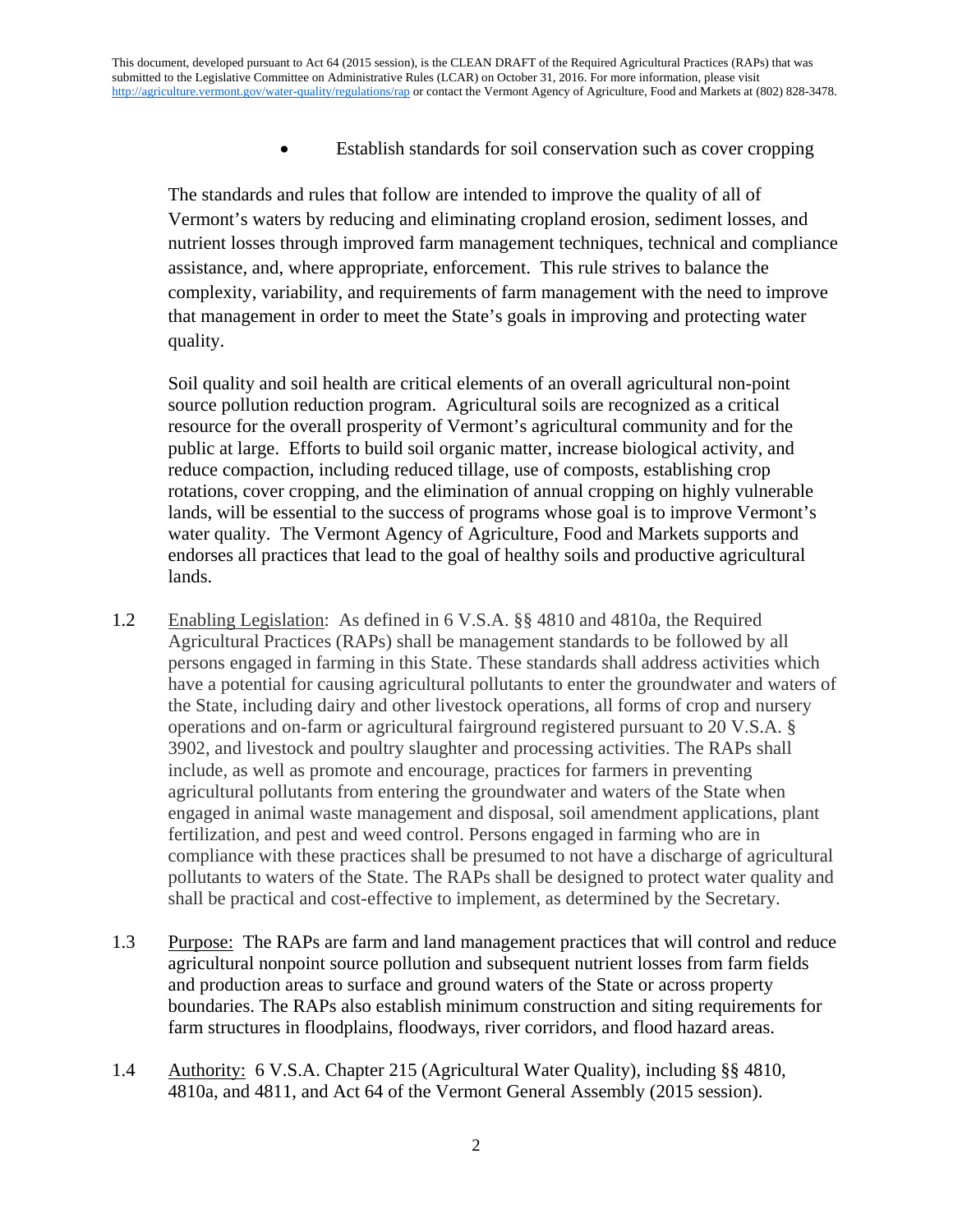• Establish standards for soil conservation such as cover cropping

The standards and rules that follow are intended to improve the quality of all of Vermont's waters by reducing and eliminating cropland erosion, sediment losses, and nutrient losses through improved farm management techniques, technical and compliance assistance, and, where appropriate, enforcement. This rule strives to balance the complexity, variability, and requirements of farm management with the need to improve that management in order to meet the State's goals in improving and protecting water quality.

Soil quality and soil health are critical elements of an overall agricultural non-point source pollution reduction program. Agricultural soils are recognized as a critical resource for the overall prosperity of Vermont's agricultural community and for the public at large. Efforts to build soil organic matter, increase biological activity, and reduce compaction, including reduced tillage, use of composts, establishing crop rotations, cover cropping, and the elimination of annual cropping on highly vulnerable lands, will be essential to the success of programs whose goal is to improve Vermont's water quality. The Vermont Agency of Agriculture, Food and Markets supports and endorses all practices that lead to the goal of healthy soils and productive agricultural lands.

- 1.2 Enabling Legislation:As defined in 6 V.S.A. §§ 4810 and 4810a, the Required Agricultural Practices (RAPs) shall be management standards to be followed by all persons engaged in farming in this State. These standards shall address activities which have a potential for causing agricultural pollutants to enter the groundwater and waters of the State, including dairy and other livestock operations, all forms of crop and nursery operations and on-farm or agricultural fairground registered pursuant to 20 V.S.A. § 3902, and livestock and poultry slaughter and processing activities. The RAPs shall include, as well as promote and encourage, practices for farmers in preventing agricultural pollutants from entering the groundwater and waters of the State when engaged in animal waste management and disposal, soil amendment applications, plant fertilization, and pest and weed control. Persons engaged in farming who are in compliance with these practices shall be presumed to not have a discharge of agricultural pollutants to waters of the State. The RAPs shall be designed to protect water quality and shall be practical and cost-effective to implement, as determined by the Secretary.
- 1.3 Purpose: The RAPs are farm and land management practices that will control and reduce agricultural nonpoint source pollution and subsequent nutrient losses from farm fields and production areas to surface and ground waters of the State or across property boundaries. The RAPs also establish minimum construction and siting requirements for farm structures in floodplains, floodways, river corridors, and flood hazard areas.
- 1.4 Authority:6 V.S.A. Chapter 215 (Agricultural Water Quality), including §§ 4810, 4810a, and 4811, and Act 64 of the Vermont General Assembly (2015 session).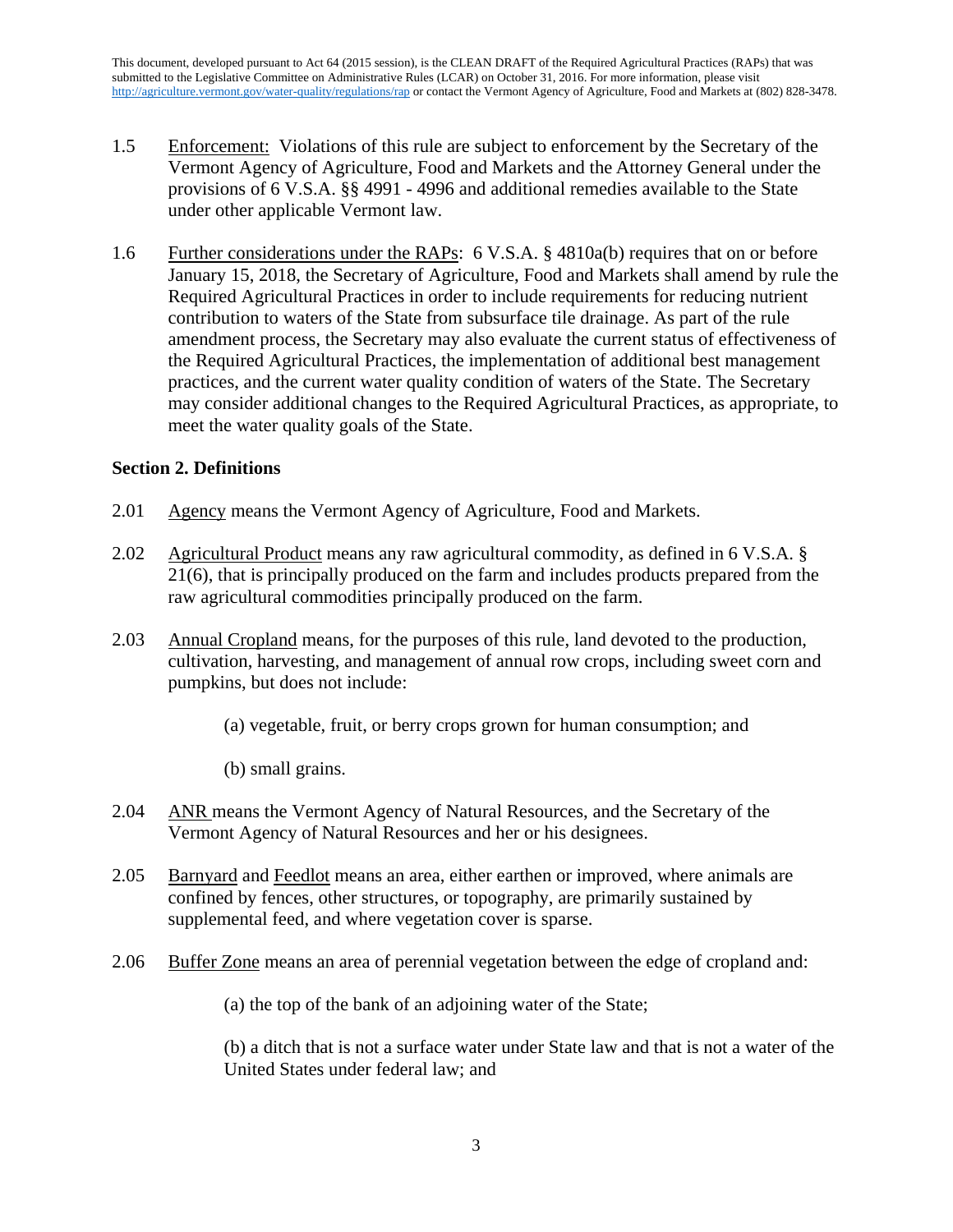- 1.5 Enforcement:Violations of this rule are subject to enforcement by the Secretary of the Vermont Agency of Agriculture, Food and Markets and the Attorney General under the provisions of 6 V.S.A. §§ 4991 - 4996 and additional remedies available to the State under other applicable Vermont law.
- 1.6 Further considerations under the RAPs: 6 V.S.A. § 4810a(b) requires that on or before January 15, 2018, the Secretary of Agriculture, Food and Markets shall amend by rule the Required Agricultural Practices in order to include requirements for reducing nutrient contribution to waters of the State from subsurface tile drainage. As part of the rule amendment process, the Secretary may also evaluate the current status of effectiveness of the Required Agricultural Practices, the implementation of additional best management practices, and the current water quality condition of waters of the State. The Secretary may consider additional changes to the Required Agricultural Practices, as appropriate, to meet the water quality goals of the State.

# **Section 2. Definitions**

- 2.01 Agency means the Vermont Agency of Agriculture, Food and Markets.
- 2.02 Agricultural Product means any raw agricultural commodity, as defined in 6 V.S.A. § 21(6), that is principally produced on the farm and includes products prepared from the raw agricultural commodities principally produced on the farm.
- 2.03 Annual Cropland means, for the purposes of this rule, land devoted to the production, cultivation, harvesting, and management of annual row crops, including sweet corn and pumpkins, but does not include:
	- (a) vegetable, fruit, or berry crops grown for human consumption; and
	- (b) small grains.
- 2.04 ANR means the Vermont Agency of Natural Resources, and the Secretary of the Vermont Agency of Natural Resources and her or his designees.
- 2.05 Barnyard and Feedlot means an area, either earthen or improved, where animals are confined by fences, other structures, or topography, are primarily sustained by supplemental feed, and where vegetation cover is sparse.
- 2.06 Buffer Zone means an area of perennial vegetation between the edge of cropland and:

(a) the top of the bank of an adjoining water of the State;

(b) a ditch that is not a surface water under State law and that is not a water of the United States under federal law; and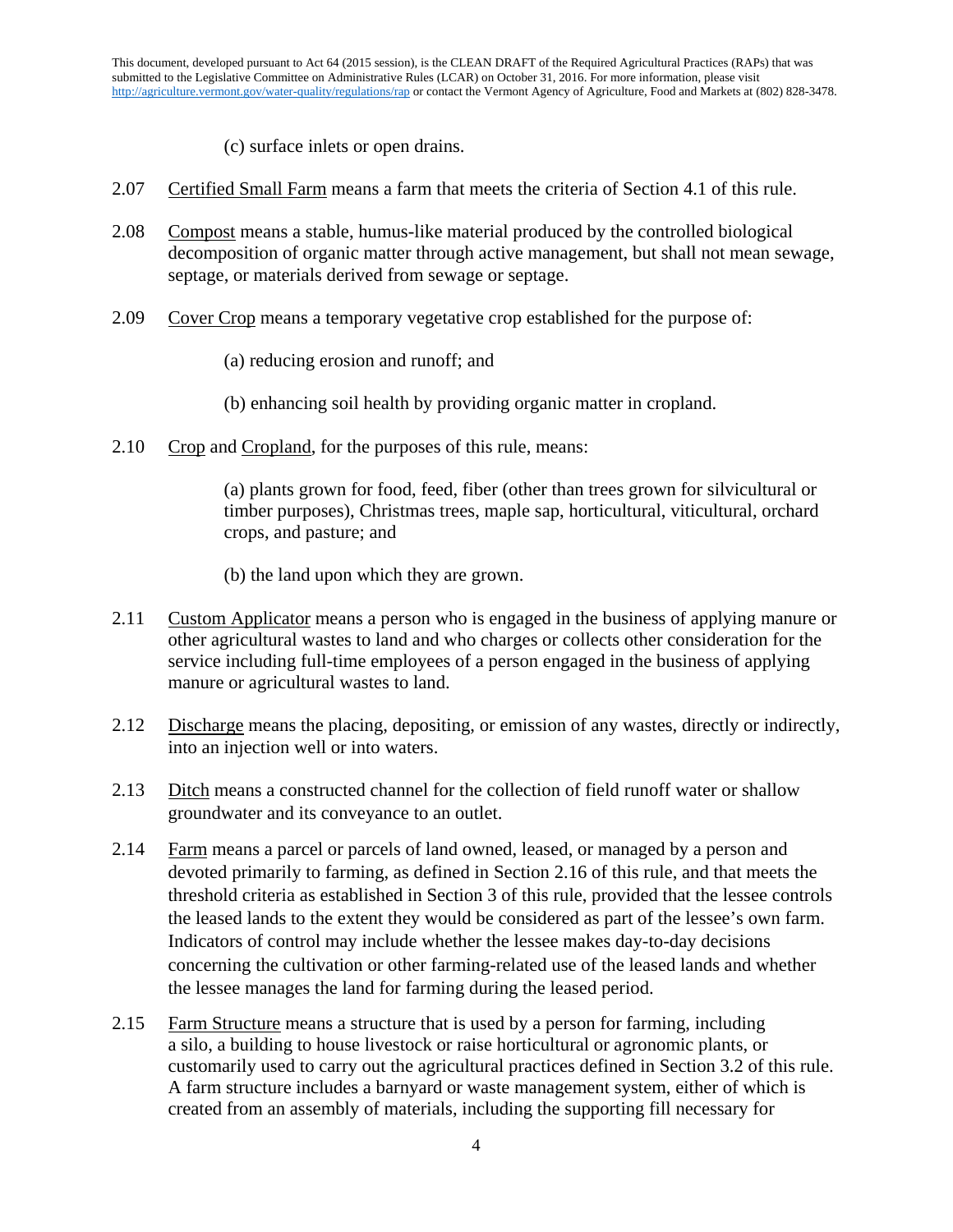(c) surface inlets or open drains.

- 2.07 Certified Small Farm means a farm that meets the criteria of Section 4.1 of this rule.
- 2.08 Compost means a stable, humus-like material produced by the controlled biological decomposition of organic matter through active management, but shall not mean sewage, septage, or materials derived from sewage or septage.
- 2.09 Cover Crop means a temporary vegetative crop established for the purpose of:
	- (a) reducing erosion and runoff; and
	- (b) enhancing soil health by providing organic matter in cropland.
- 2.10 Crop and Cropland, for the purposes of this rule, means:

(a) plants grown for food, feed, fiber (other than trees grown for silvicultural or timber purposes), Christmas trees, maple sap, horticultural, viticultural, orchard crops, and pasture; and

- (b) the land upon which they are grown.
- 2.11 Custom Applicator means a person who is engaged in the business of applying manure or other agricultural wastes to land and who charges or collects other consideration for the service including full-time employees of a person engaged in the business of applying manure or agricultural wastes to land.
- 2.12 Discharge means the placing, depositing, or emission of any wastes, directly or indirectly, into an injection well or into waters.
- 2.13 Ditch means a constructed channel for the collection of field runoff water or shallow groundwater and its conveyance to an outlet.
- 2.14 Farm means a parcel or parcels of land owned, leased, or managed by a person and devoted primarily to farming, as defined in Section 2.16 of this rule, and that meets the threshold criteria as established in Section 3 of this rule, provided that the lessee controls the leased lands to the extent they would be considered as part of the lessee's own farm. Indicators of control may include whether the lessee makes day-to-day decisions concerning the cultivation or other farming-related use of the leased lands and whether the lessee manages the land for farming during the leased period.
- 2.15 Farm Structure means a structure that is used by a person for farming, including a silo, a building to house livestock or raise horticultural or agronomic plants, or customarily used to carry out the agricultural practices defined in Section 3.2 of this rule. A farm structure includes a barnyard or waste management system, either of which is created from an assembly of materials, including the supporting fill necessary for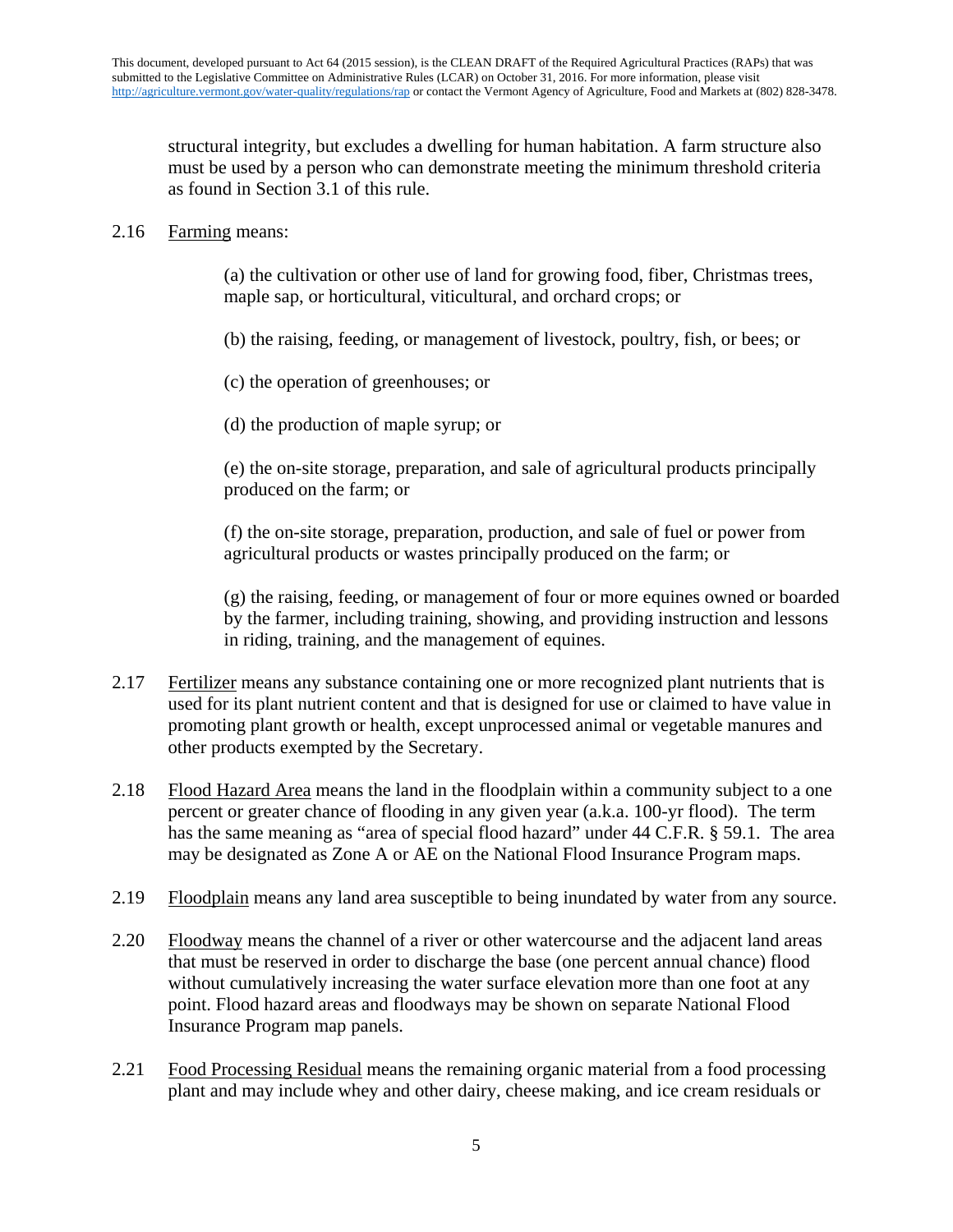structural integrity, but excludes a dwelling for human habitation. A farm structure also must be used by a person who can demonstrate meeting the minimum threshold criteria as found in Section 3.1 of this rule.

## 2.16 Farming means:

(a) the cultivation or other use of land for growing food, fiber, Christmas trees, maple sap, or horticultural, viticultural, and orchard crops; or

(b) the raising, feeding, or management of livestock, poultry, fish, or bees; or

(c) the operation of greenhouses; or

(d) the production of maple syrup; or

(e) the on-site storage, preparation, and sale of agricultural products principally produced on the farm; or

(f) the on-site storage, preparation, production, and sale of fuel or power from agricultural products or wastes principally produced on the farm; or

(g) the raising, feeding, or management of four or more equines owned or boarded by the farmer, including training, showing, and providing instruction and lessons in riding, training, and the management of equines.

- 2.17 Fertilizer means any substance containing one or more recognized plant nutrients that is used for its plant nutrient content and that is designed for use or claimed to have value in promoting plant growth or health, except unprocessed animal or vegetable manures and other products exempted by the Secretary.
- 2.18 Flood Hazard Area means the land in the floodplain within a community subject to a one percent or greater chance of flooding in any given year (a.k.a. 100-yr flood). The term has the same meaning as "area of special flood hazard" under 44 C.F.R. § 59.1. The area may be designated as Zone A or AE on the National Flood Insurance Program maps.
- 2.19 Floodplain means any land area susceptible to being inundated by water from any source.
- 2.20 Floodway means the channel of a river or other watercourse and the adjacent land areas that must be reserved in order to discharge the base (one percent annual chance) flood without cumulatively increasing the water surface elevation more than one foot at any point. Flood hazard areas and floodways may be shown on separate National Flood Insurance Program map panels.
- 2.21 Food Processing Residual means the remaining organic material from a food processing plant and may include whey and other dairy, cheese making, and ice cream residuals or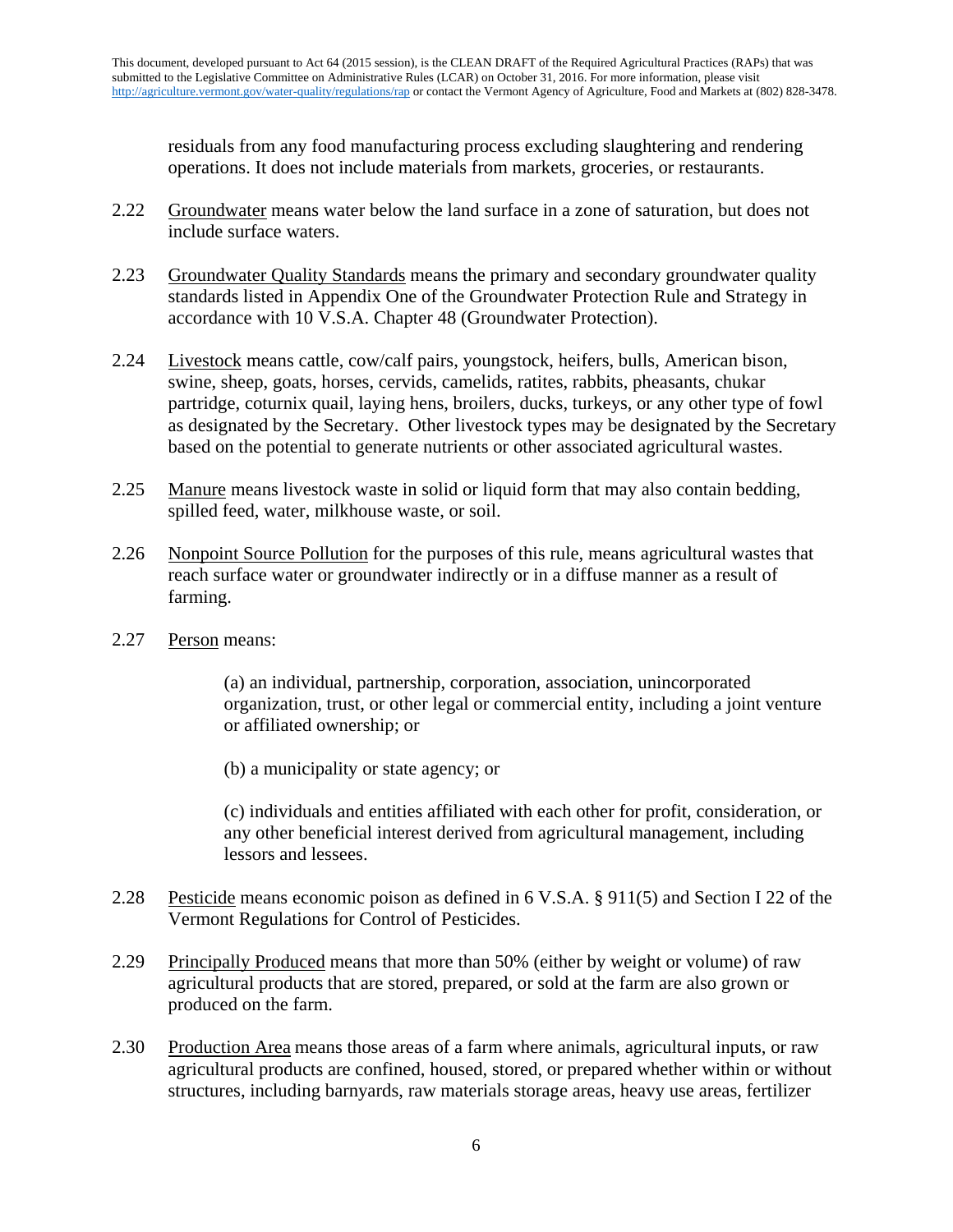residuals from any food manufacturing process excluding slaughtering and rendering operations. It does not include materials from markets, groceries, or restaurants.

- 2.22 Groundwater means water below the land surface in a zone of saturation, but does not include surface waters.
- 2.23 Groundwater Quality Standards means the primary and secondary groundwater quality standards listed in Appendix One of the Groundwater Protection Rule and Strategy in accordance with 10 V.S.A. Chapter 48 (Groundwater Protection).
- 2.24 Livestock means cattle, cow/calf pairs, youngstock, heifers, bulls, American bison, swine, sheep, goats, horses, cervids, camelids, ratites, rabbits, pheasants, chukar partridge, coturnix quail, laying hens, broilers, ducks, turkeys, or any other type of fowl as designated by the Secretary. Other livestock types may be designated by the Secretary based on the potential to generate nutrients or other associated agricultural wastes.
- 2.25 Manure means livestock waste in solid or liquid form that may also contain bedding, spilled feed, water, milkhouse waste, or soil.
- 2.26 Nonpoint Source Pollution for the purposes of this rule, means agricultural wastes that reach surface water or groundwater indirectly or in a diffuse manner as a result of farming.
- 2.27 Person means:

(a) an individual, partnership, corporation, association, unincorporated organization, trust, or other legal or commercial entity, including a joint venture or affiliated ownership; or

(b) a municipality or state agency; or

(c) individuals and entities affiliated with each other for profit, consideration, or any other beneficial interest derived from agricultural management, including lessors and lessees.

- 2.28 Pesticide means economic poison as defined in 6 V.S.A. § 911(5) and Section I 22 of the Vermont Regulations for Control of Pesticides.
- 2.29 Principally Produced means that more than 50% (either by weight or volume) of raw agricultural products that are stored, prepared, or sold at the farm are also grown or produced on the farm.
- 2.30 Production Area means those areas of a farm where animals, agricultural inputs, or raw agricultural products are confined, housed, stored, or prepared whether within or without structures, including barnyards, raw materials storage areas, heavy use areas, fertilizer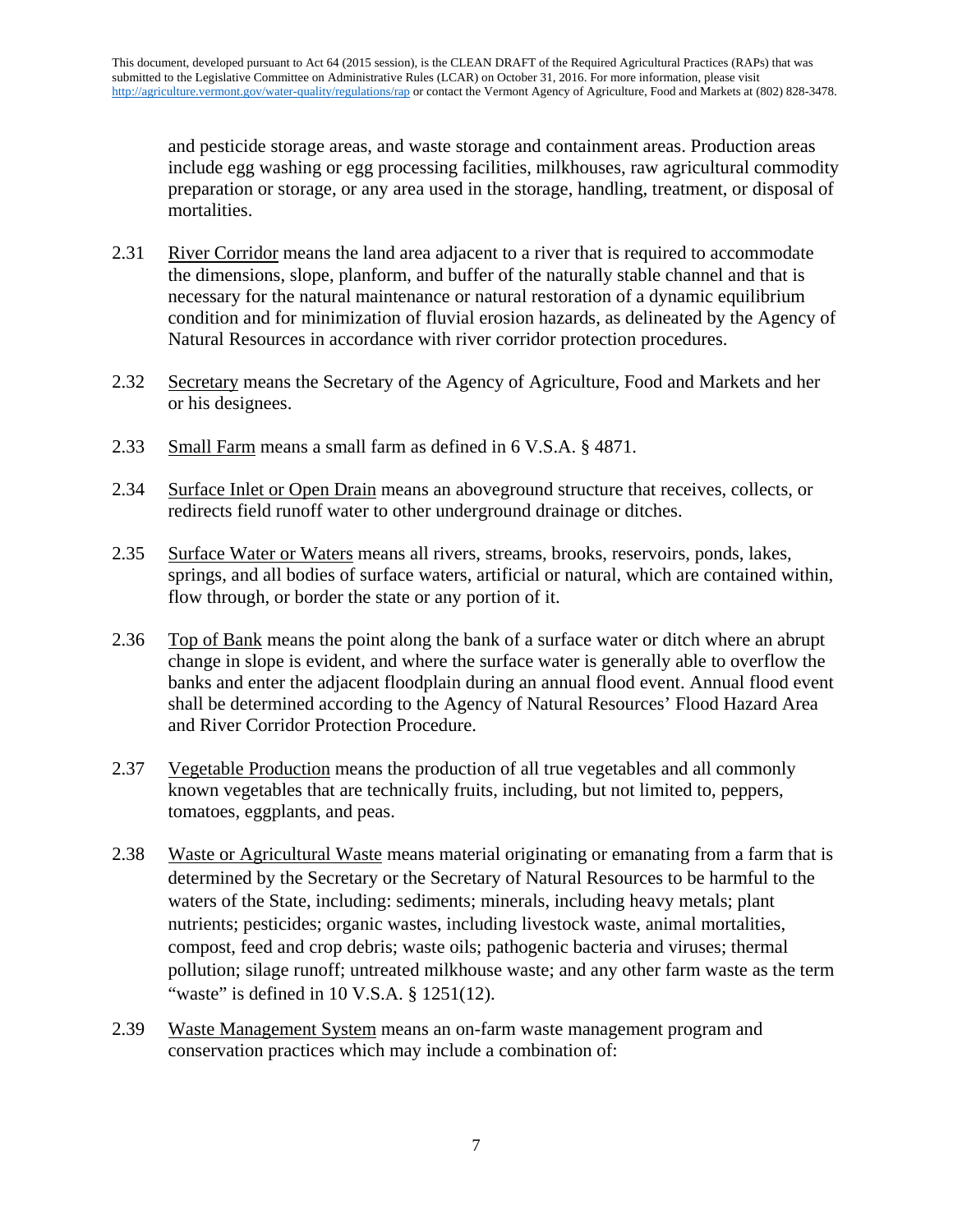and pesticide storage areas, and waste storage and containment areas. Production areas include egg washing or egg processing facilities, milkhouses, raw agricultural commodity preparation or storage, or any area used in the storage, handling, treatment, or disposal of mortalities.

- 2.31 River Corridor means the land area adjacent to a river that is required to accommodate the dimensions, slope, planform, and buffer of the naturally stable channel and that is necessary for the natural maintenance or natural restoration of a dynamic equilibrium condition and for minimization of fluvial erosion hazards, as delineated by the Agency of Natural Resources in accordance with river corridor protection procedures.
- 2.32 Secretary means the Secretary of the Agency of Agriculture, Food and Markets and her or his designees.
- 2.33 Small Farm means a small farm as defined in 6 V.S.A. § 4871.
- 2.34 Surface Inlet or Open Drain means an aboveground structure that receives, collects, or redirects field runoff water to other underground drainage or ditches.
- 2.35 Surface Water or Waters means all rivers, streams, brooks, reservoirs, ponds, lakes, springs, and all bodies of surface waters, artificial or natural, which are contained within, flow through, or border the state or any portion of it.
- 2.36 Top of Bank means the point along the bank of a surface water or ditch where an abrupt change in slope is evident, and where the surface water is generally able to overflow the banks and enter the adjacent floodplain during an annual flood event. Annual flood event shall be determined according to the Agency of Natural Resources' Flood Hazard Area and River Corridor Protection Procedure.
- 2.37 Vegetable Production means the production of all true vegetables and all commonly known vegetables that are technically fruits, including, but not limited to, peppers, tomatoes, eggplants, and peas.
- 2.38 Waste or Agricultural Waste means material originating or emanating from a farm that is determined by the Secretary or the Secretary of Natural Resources to be harmful to the waters of the State, including: sediments; minerals, including heavy metals; plant nutrients; pesticides; organic wastes, including livestock waste, animal mortalities, compost, feed and crop debris; waste oils; pathogenic bacteria and viruses; thermal pollution; silage runoff; untreated milkhouse waste; and any other farm waste as the term "waste" is defined in  $10$  V.S.A.  $\S$  1251(12).
- 2.39 Waste Management System means an on-farm waste management program and conservation practices which may include a combination of: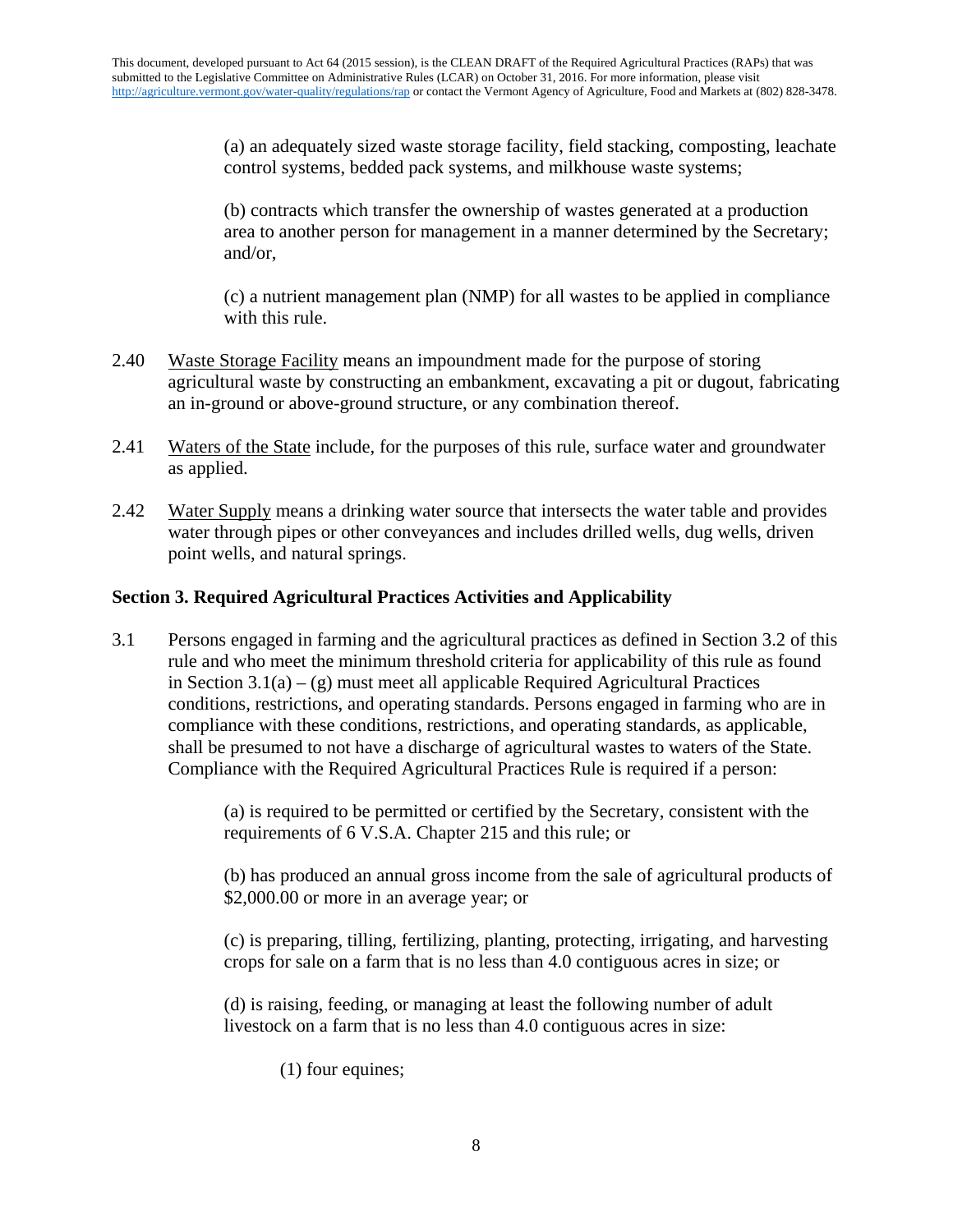(a) an adequately sized waste storage facility, field stacking, composting, leachate control systems, bedded pack systems, and milkhouse waste systems;

(b) contracts which transfer the ownership of wastes generated at a production area to another person for management in a manner determined by the Secretary; and/or,

(c) a nutrient management plan (NMP) for all wastes to be applied in compliance with this rule.

- 2.40 Waste Storage Facility means an impoundment made for the purpose of storing agricultural waste by constructing an embankment, excavating a pit or dugout, fabricating an in-ground or above-ground structure, or any combination thereof.
- 2.41 Waters of the State include, for the purposes of this rule, surface water and groundwater as applied.
- 2.42 Water Supply means a drinking water source that intersects the water table and provides water through pipes or other conveyances and includes drilled wells, dug wells, driven point wells, and natural springs.

# **Section 3. Required Agricultural Practices Activities and Applicability**

3.1 Persons engaged in farming and the agricultural practices as defined in Section 3.2 of this rule and who meet the minimum threshold criteria for applicability of this rule as found in Section  $3.1(a) - (g)$  must meet all applicable Required Agricultural Practices conditions, restrictions, and operating standards. Persons engaged in farming who are in compliance with these conditions, restrictions, and operating standards, as applicable, shall be presumed to not have a discharge of agricultural wastes to waters of the State. Compliance with the Required Agricultural Practices Rule is required if a person:

> (a) is required to be permitted or certified by the Secretary, consistent with the requirements of 6 V.S.A. Chapter 215 and this rule; or

(b) has produced an annual gross income from the sale of agricultural products of \$2,000.00 or more in an average year; or

(c) is preparing, tilling, fertilizing, planting, protecting, irrigating, and harvesting crops for sale on a farm that is no less than 4.0 contiguous acres in size; or

(d) is raising, feeding, or managing at least the following number of adult livestock on a farm that is no less than 4.0 contiguous acres in size:

(1) four equines;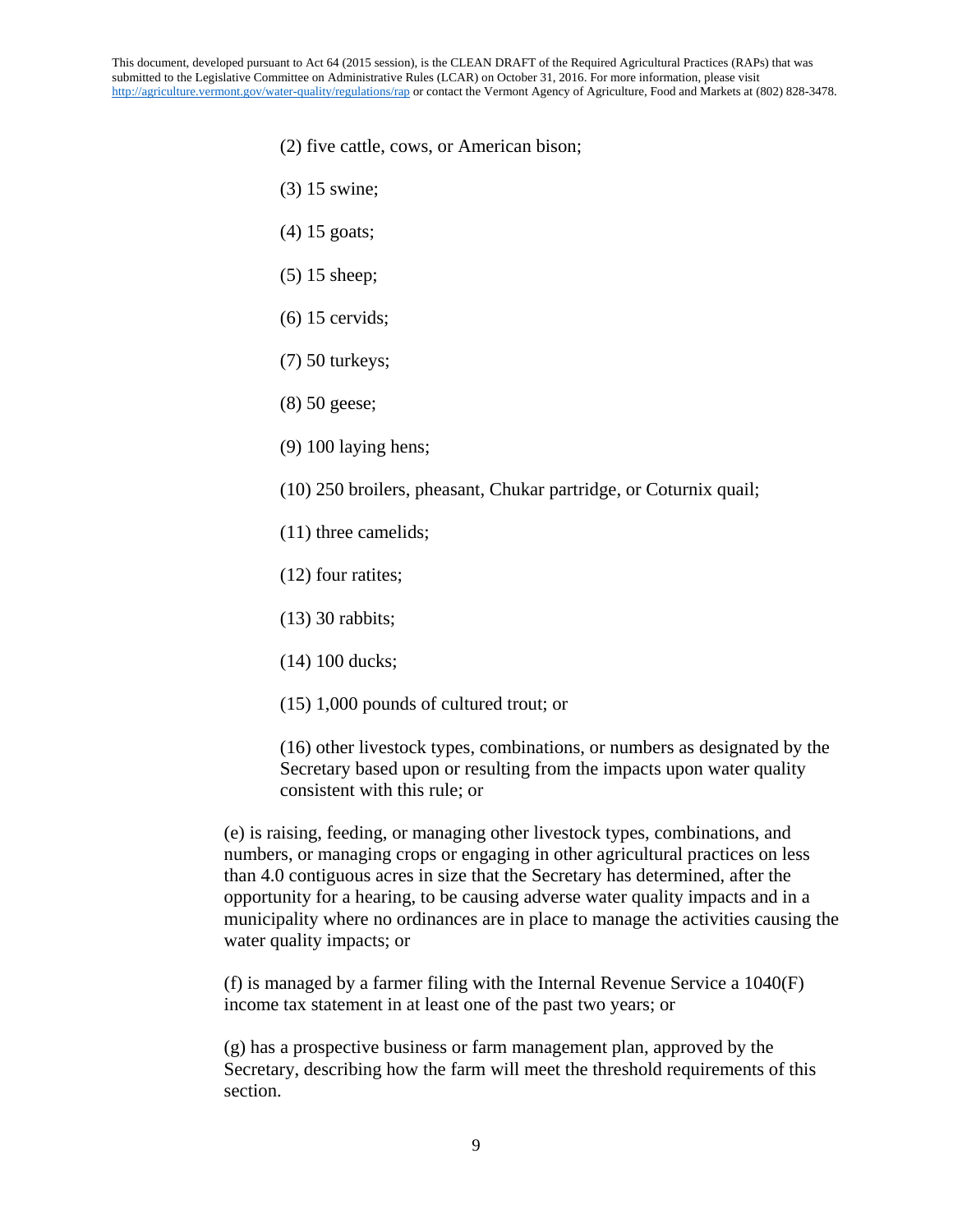This document, developed pursuant to Act 64 (2015 session), is the CLEAN DRAFT of the Required Agricultural Practices (RAPs) that was submitted to the Legislative Committee on Administrative Rules (LCAR) on October 31, 2016. For more information, please visit <http://agriculture.vermont.gov/water-quality/regulations/rap> or contact the Vermont Agency of Agriculture, Food and Markets at (802) 828-3478.

- (2) five cattle, cows, or American bison;
- (3) 15 swine;
- (4) 15 goats;
- (5) 15 sheep;
- (6) 15 cervids;
- (7) 50 turkeys;
- (8) 50 geese;
- (9) 100 laying hens;
- (10) 250 broilers, pheasant, Chukar partridge, or Coturnix quail;
- (11) three camelids;
- (12) four ratites;
- (13) 30 rabbits;
- (14) 100 ducks;
- (15) 1,000 pounds of cultured trout; or

(16) other livestock types, combinations, or numbers as designated by the Secretary based upon or resulting from the impacts upon water quality consistent with this rule; or

(e) is raising, feeding, or managing other livestock types, combinations, and numbers, or managing crops or engaging in other agricultural practices on less than 4.0 contiguous acres in size that the Secretary has determined, after the opportunity for a hearing, to be causing adverse water quality impacts and in a municipality where no ordinances are in place to manage the activities causing the water quality impacts; or

(f) is managed by a farmer filing with the Internal Revenue Service a 1040(F) income tax statement in at least one of the past two years; or

(g) has a prospective business or farm management plan, approved by the Secretary, describing how the farm will meet the threshold requirements of this section.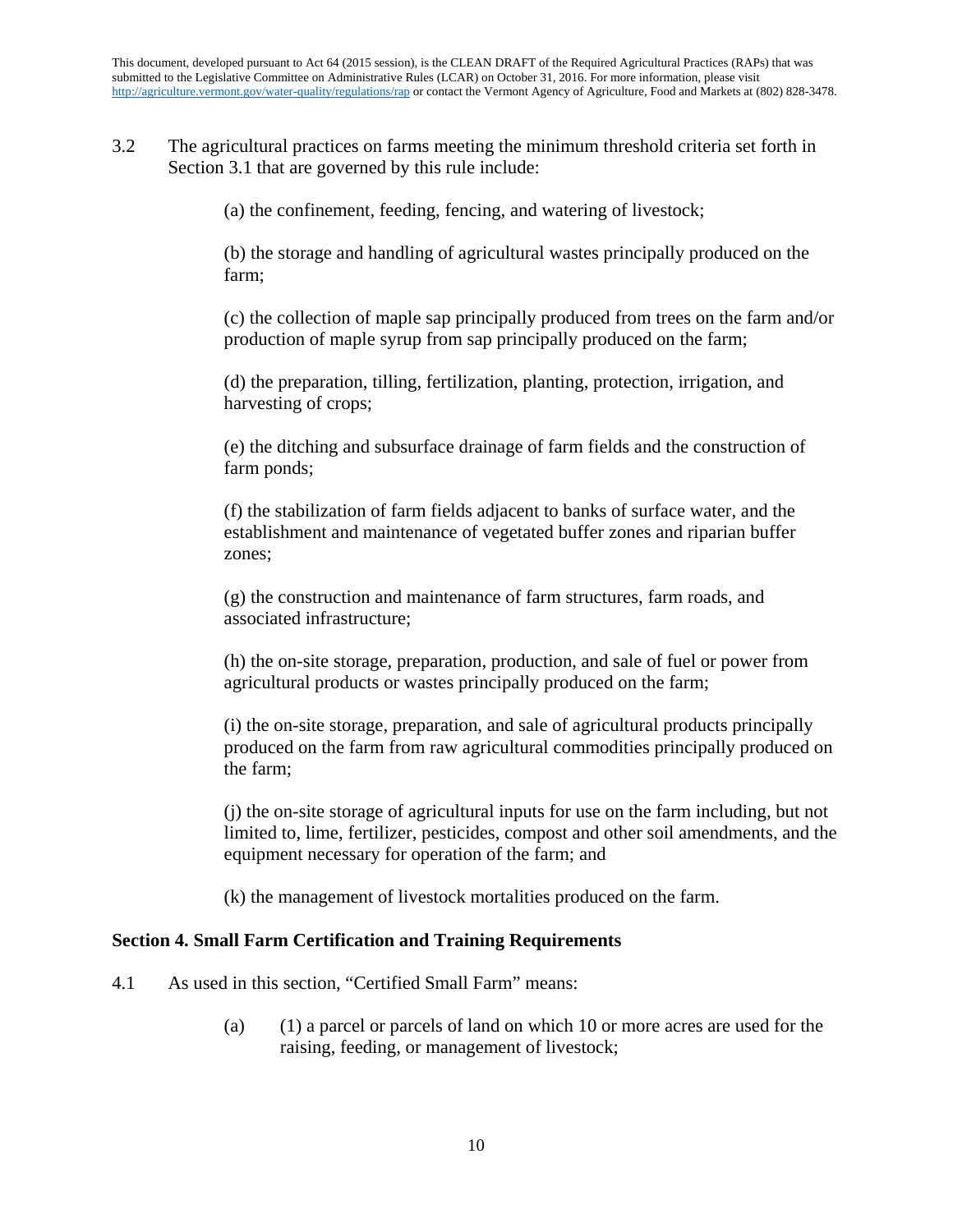3.2 The agricultural practices on farms meeting the minimum threshold criteria set forth in Section 3.1 that are governed by this rule include:

(a) the confinement, feeding, fencing, and watering of livestock;

(b) the storage and handling of agricultural wastes principally produced on the farm;

(c) the collection of maple sap principally produced from trees on the farm and/or production of maple syrup from sap principally produced on the farm;

(d) the preparation, tilling, fertilization, planting, protection, irrigation, and harvesting of crops;

(e) the ditching and subsurface drainage of farm fields and the construction of farm ponds;

(f) the stabilization of farm fields adjacent to banks of surface water, and the establishment and maintenance of vegetated buffer zones and riparian buffer zones;

(g) the construction and maintenance of farm structures, farm roads, and associated infrastructure;

(h) the on-site storage, preparation, production, and sale of fuel or power from agricultural products or wastes principally produced on the farm;

(i) the on-site storage, preparation, and sale of agricultural products principally produced on the farm from raw agricultural commodities principally produced on the farm;

(j) the on-site storage of agricultural inputs for use on the farm including, but not limited to, lime, fertilizer, pesticides, compost and other soil amendments, and the equipment necessary for operation of the farm; and

(k) the management of livestock mortalities produced on the farm.

## **Section 4. Small Farm Certification and Training Requirements**

- 4.1 As used in this section, "Certified Small Farm" means:
	- (a) (1) a parcel or parcels of land on which 10 or more acres are used for the raising, feeding, or management of livestock;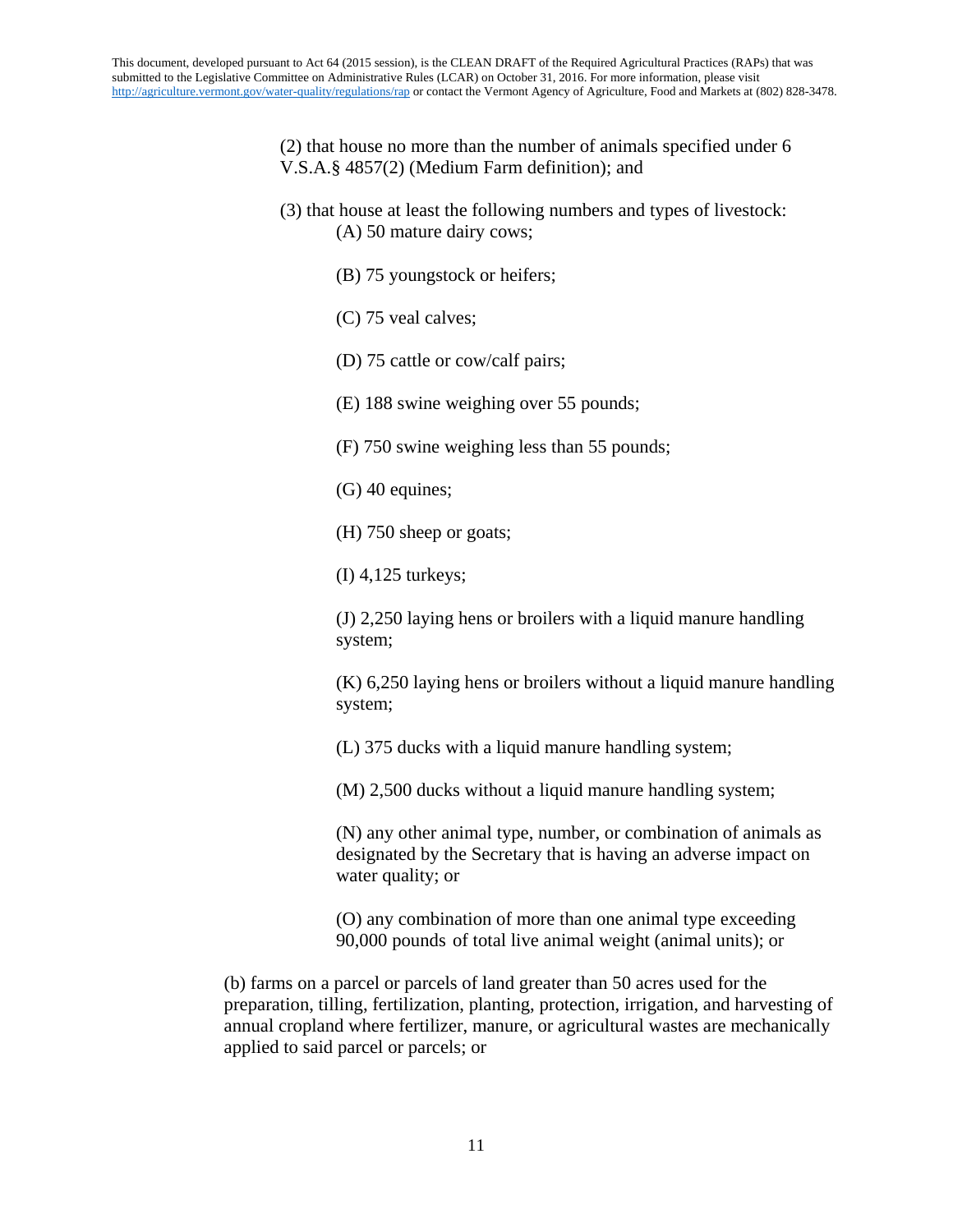(2) that house no more than the number of animals specified under 6 V.S.A.§ 4857(2) (Medium Farm definition); and

- (3) that house at least the following numbers and types of livestock: (A) 50 mature dairy cows;
	- (B) 75 youngstock or heifers;
	- (C) 75 veal calves;
	- (D) 75 cattle or cow/calf pairs;
	- (E) 188 swine weighing over 55 pounds;
	- (F) 750 swine weighing less than 55 pounds;
	- (G) 40 equines;
	- (H) 750 sheep or goats;
	- (I) 4,125 turkeys;

(J) 2,250 laying hens or broilers with a liquid manure handling system;

(K) 6,250 laying hens or broilers without a liquid manure handling system;

(L) 375 ducks with a liquid manure handling system;

(M) 2,500 ducks without a liquid manure handling system;

(N) any other animal type, number, or combination of animals as designated by the Secretary that is having an adverse impact on water quality; or

(O) any combination of more than one animal type exceeding 90,000 pounds of total live animal weight (animal units); or

(b) farms on a parcel or parcels of land greater than 50 acres used for the preparation, tilling, fertilization, planting, protection, irrigation, and harvesting of annual cropland where fertilizer, manure, or agricultural wastes are mechanically applied to said parcel or parcels; or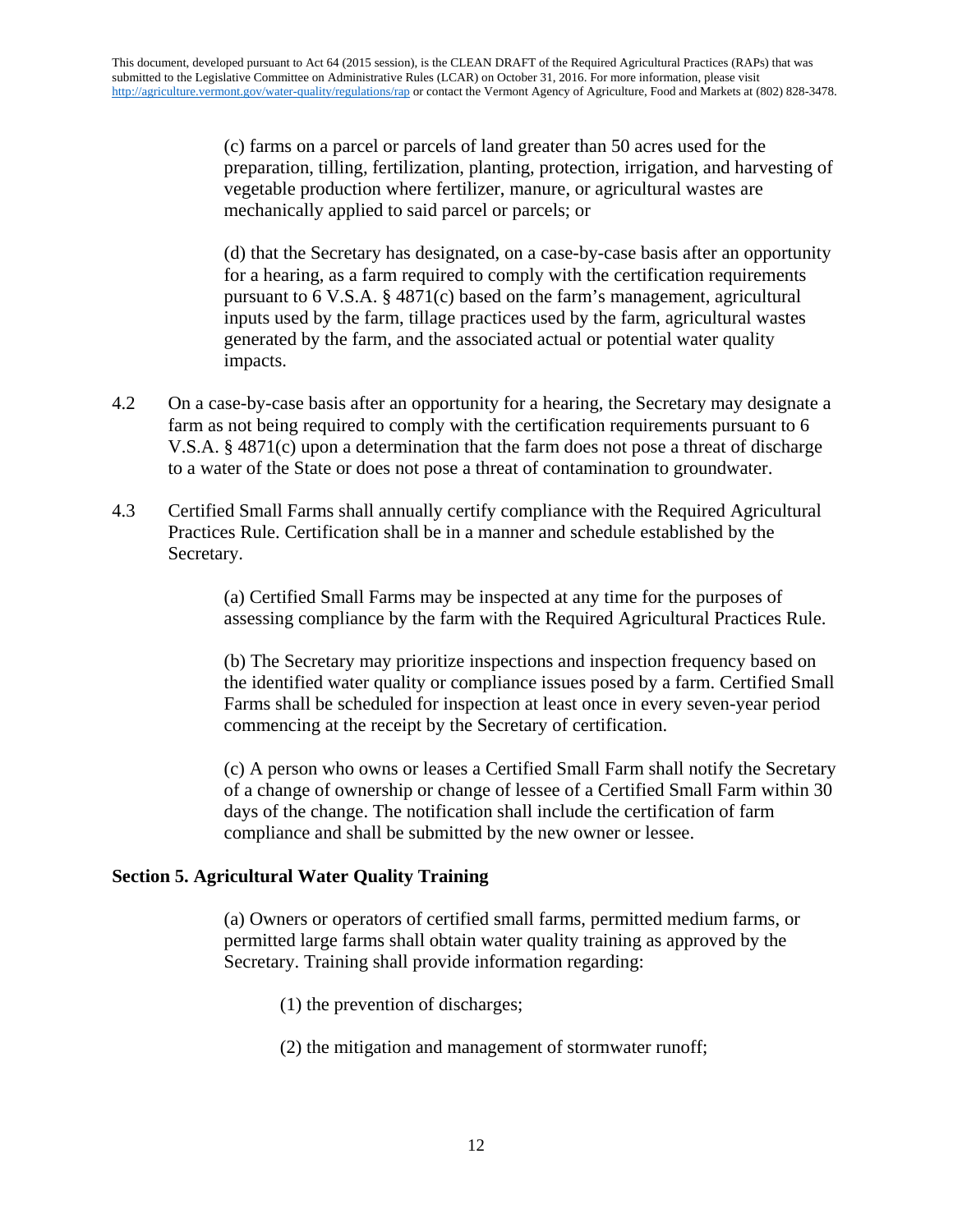(c) farms on a parcel or parcels of land greater than 50 acres used for the preparation, tilling, fertilization, planting, protection, irrigation, and harvesting of vegetable production where fertilizer, manure, or agricultural wastes are mechanically applied to said parcel or parcels; or

(d) that the Secretary has designated, on a case-by-case basis after an opportunity for a hearing, as a farm required to comply with the certification requirements pursuant to 6 V.S.A. § 4871(c) based on the farm's management, agricultural inputs used by the farm, tillage practices used by the farm, agricultural wastes generated by the farm, and the associated actual or potential water quality impacts.

- 4.2 On a case-by-case basis after an opportunity for a hearing, the Secretary may designate a farm as not being required to comply with the certification requirements pursuant to 6 V.S.A. § 4871(c) upon a determination that the farm does not pose a threat of discharge to a water of the State or does not pose a threat of contamination to groundwater.
- 4.3 Certified Small Farms shall annually certify compliance with the Required Agricultural Practices Rule. Certification shall be in a manner and schedule established by the Secretary.

(a) Certified Small Farms may be inspected at any time for the purposes of assessing compliance by the farm with the Required Agricultural Practices Rule.

(b) The Secretary may prioritize inspections and inspection frequency based on the identified water quality or compliance issues posed by a farm. Certified Small Farms shall be scheduled for inspection at least once in every seven-year period commencing at the receipt by the Secretary of certification.

(c) A person who owns or leases a Certified Small Farm shall notify the Secretary of a change of ownership or change of lessee of a Certified Small Farm within 30 days of the change. The notification shall include the certification of farm compliance and shall be submitted by the new owner or lessee.

## **Section 5. Agricultural Water Quality Training**

(a) Owners or operators of certified small farms, permitted medium farms, or permitted large farms shall obtain water quality training as approved by the Secretary. Training shall provide information regarding:

- (1) the prevention of discharges;
- (2) the mitigation and management of stormwater runoff;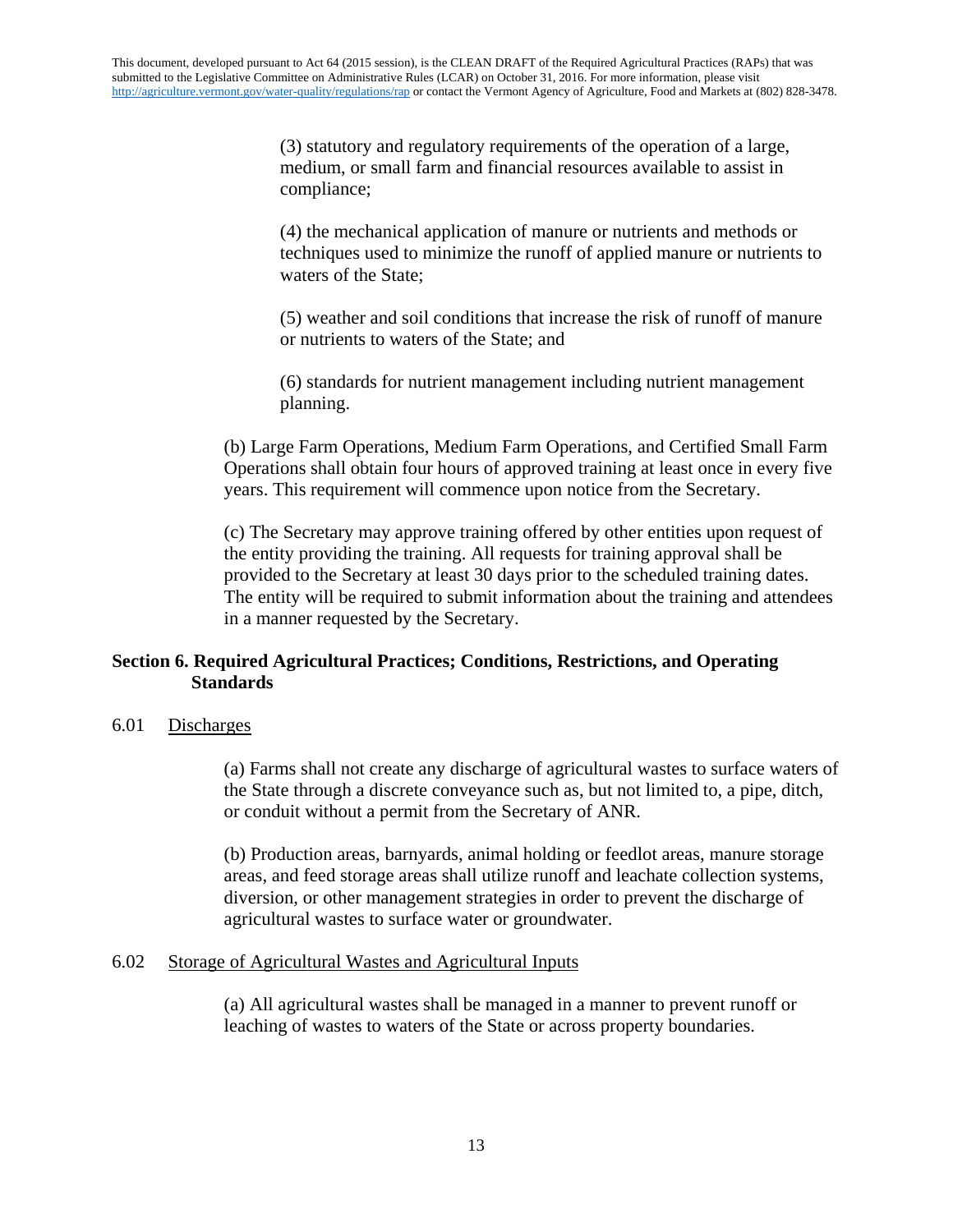(3) statutory and regulatory requirements of the operation of a large, medium, or small farm and financial resources available to assist in compliance;

(4) the mechanical application of manure or nutrients and methods or techniques used to minimize the runoff of applied manure or nutrients to waters of the State;

(5) weather and soil conditions that increase the risk of runoff of manure or nutrients to waters of the State; and

(6) standards for nutrient management including nutrient management planning.

(b) Large Farm Operations, Medium Farm Operations, and Certified Small Farm Operations shall obtain four hours of approved training at least once in every five years. This requirement will commence upon notice from the Secretary.

(c) The Secretary may approve training offered by other entities upon request of the entity providing the training. All requests for training approval shall be provided to the Secretary at least 30 days prior to the scheduled training dates. The entity will be required to submit information about the training and attendees in a manner requested by the Secretary.

# **Section 6. Required Agricultural Practices; Conditions, Restrictions, and Operating Standards**

### 6.01 Discharges

(a) Farms shall not create any discharge of agricultural wastes to surface waters of the State through a discrete conveyance such as, but not limited to, a pipe, ditch, or conduit without a permit from the Secretary of ANR.

(b) Production areas, barnyards, animal holding or feedlot areas, manure storage areas, and feed storage areas shall utilize runoff and leachate collection systems, diversion, or other management strategies in order to prevent the discharge of agricultural wastes to surface water or groundwater.

### 6.02 Storage of Agricultural Wastes and Agricultural Inputs

(a) All agricultural wastes shall be managed in a manner to prevent runoff or leaching of wastes to waters of the State or across property boundaries.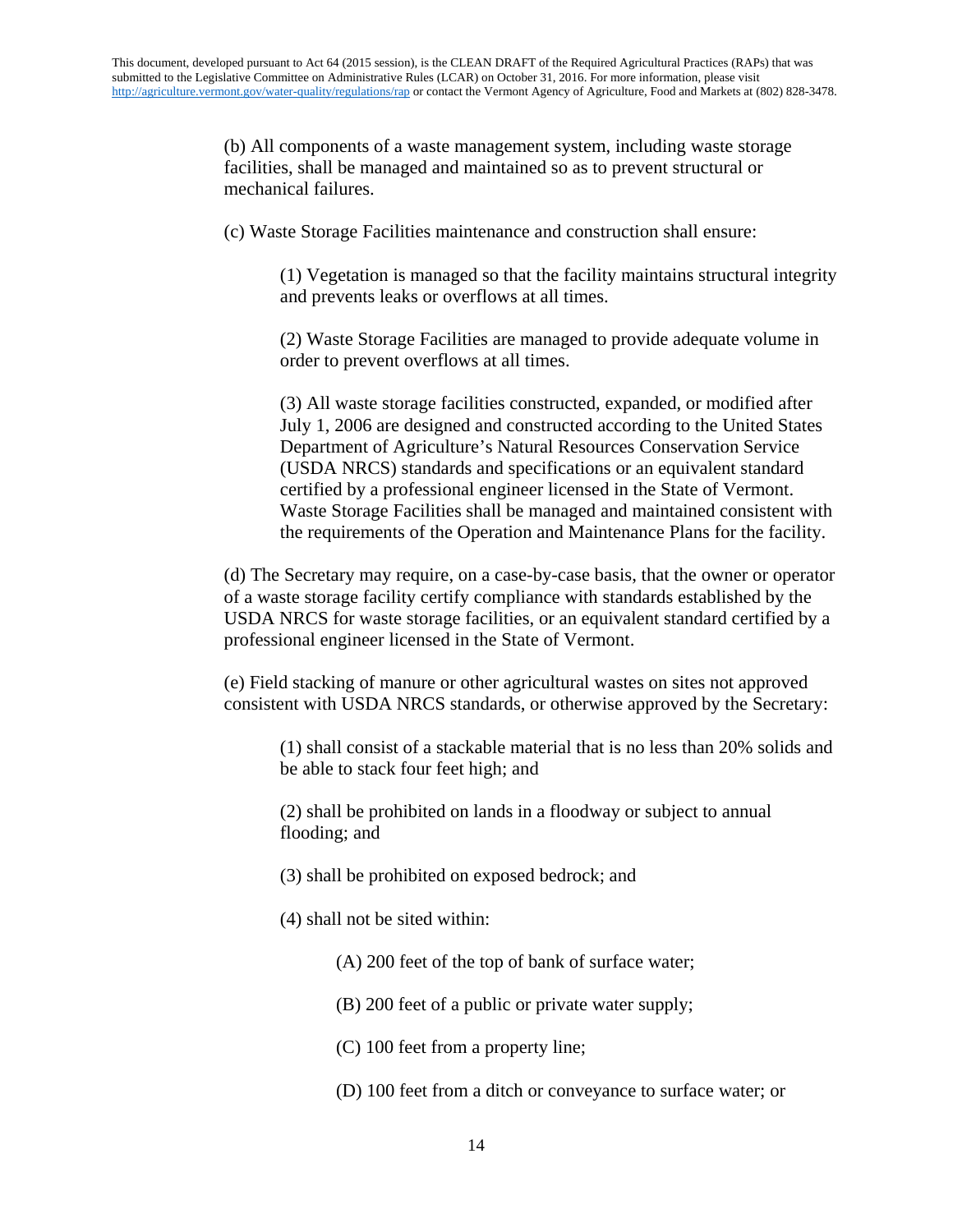(b) All components of a waste management system, including waste storage facilities, shall be managed and maintained so as to prevent structural or mechanical failures.

(c) Waste Storage Facilities maintenance and construction shall ensure:

(1) Vegetation is managed so that the facility maintains structural integrity and prevents leaks or overflows at all times.

(2) Waste Storage Facilities are managed to provide adequate volume in order to prevent overflows at all times.

(3) All waste storage facilities constructed, expanded, or modified after July 1, 2006 are designed and constructed according to the United States Department of Agriculture's Natural Resources Conservation Service (USDA NRCS) standards and specifications or an equivalent standard certified by a professional engineer licensed in the State of Vermont. Waste Storage Facilities shall be managed and maintained consistent with the requirements of the Operation and Maintenance Plans for the facility.

(d) The Secretary may require, on a case-by-case basis, that the owner or operator of a waste storage facility certify compliance with standards established by the USDA NRCS for waste storage facilities, or an equivalent standard certified by a professional engineer licensed in the State of Vermont.

(e) Field stacking of manure or other agricultural wastes on sites not approved consistent with USDA NRCS standards, or otherwise approved by the Secretary:

(1) shall consist of a stackable material that is no less than 20% solids and be able to stack four feet high; and

(2) shall be prohibited on lands in a floodway or subject to annual flooding; and

- (3) shall be prohibited on exposed bedrock; and
- (4) shall not be sited within:
	- (A) 200 feet of the top of bank of surface water;
	- (B) 200 feet of a public or private water supply;
	- (C) 100 feet from a property line;
	- (D) 100 feet from a ditch or conveyance to surface water; or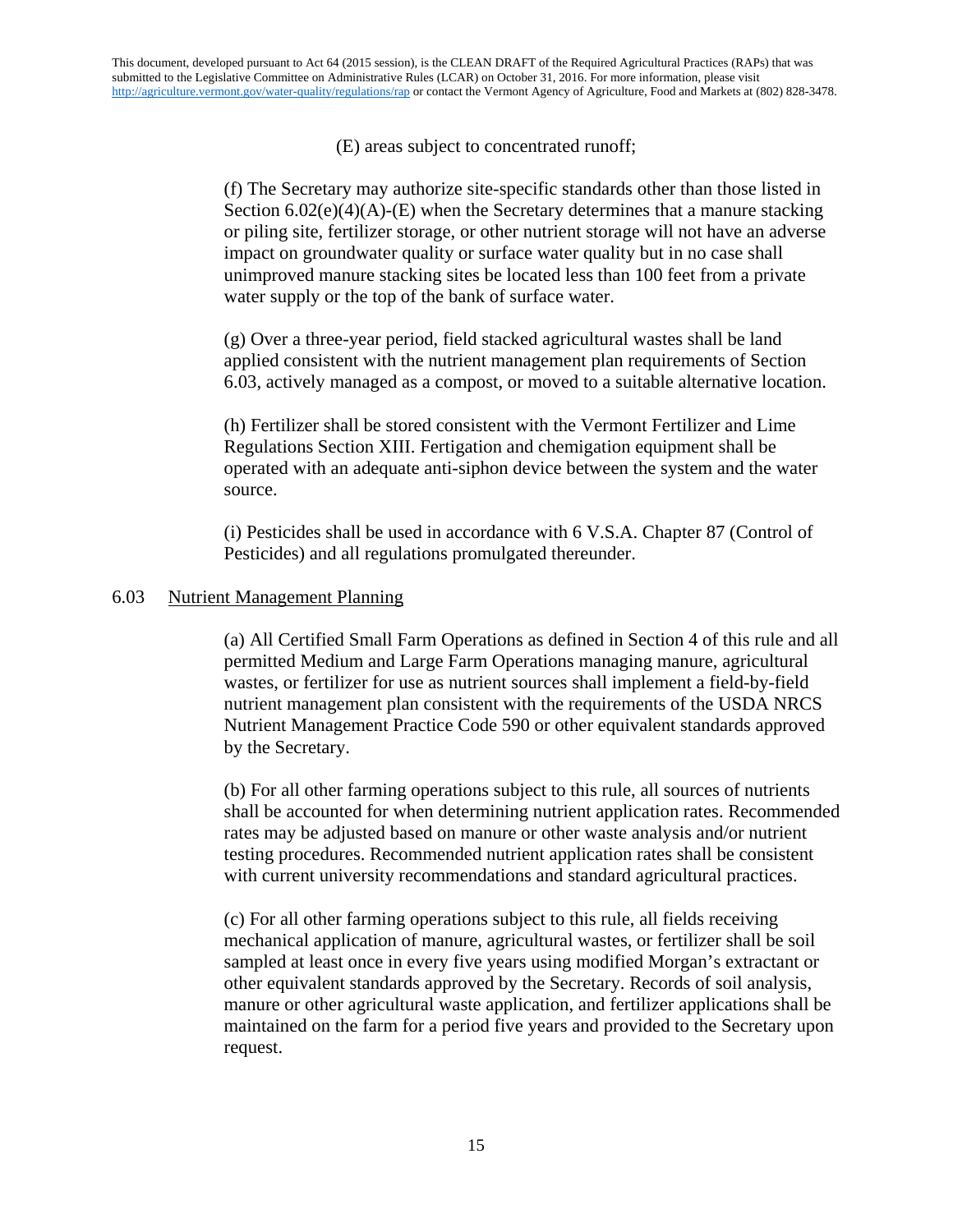# (E) areas subject to concentrated runoff;

(f) The Secretary may authorize site-specific standards other than those listed in Section  $6.02(e)(4)(A)$ -(E) when the Secretary determines that a manure stacking or piling site, fertilizer storage, or other nutrient storage will not have an adverse impact on groundwater quality or surface water quality but in no case shall unimproved manure stacking sites be located less than 100 feet from a private water supply or the top of the bank of surface water.

(g) Over a three-year period, field stacked agricultural wastes shall be land applied consistent with the nutrient management plan requirements of Section 6.03, actively managed as a compost, or moved to a suitable alternative location.

(h) Fertilizer shall be stored consistent with the Vermont Fertilizer and Lime Regulations Section XIII. Fertigation and chemigation equipment shall be operated with an adequate anti-siphon device between the system and the water source.

(i) Pesticides shall be used in accordance with 6 V.S.A. Chapter 87 (Control of Pesticides) and all regulations promulgated thereunder.

## 6.03 Nutrient Management Planning

(a) All Certified Small Farm Operations as defined in Section 4 of this rule and all permitted Medium and Large Farm Operations managing manure, agricultural wastes, or fertilizer for use as nutrient sources shall implement a field-by-field nutrient management plan consistent with the requirements of the USDA NRCS Nutrient Management Practice Code 590 or other equivalent standards approved by the Secretary.

(b) For all other farming operations subject to this rule, all sources of nutrients shall be accounted for when determining nutrient application rates. Recommended rates may be adjusted based on manure or other waste analysis and/or nutrient testing procedures. Recommended nutrient application rates shall be consistent with current university recommendations and standard agricultural practices.

(c) For all other farming operations subject to this rule, all fields receiving mechanical application of manure, agricultural wastes, or fertilizer shall be soil sampled at least once in every five years using modified Morgan's extractant or other equivalent standards approved by the Secretary. Records of soil analysis, manure or other agricultural waste application, and fertilizer applications shall be maintained on the farm for a period five years and provided to the Secretary upon request.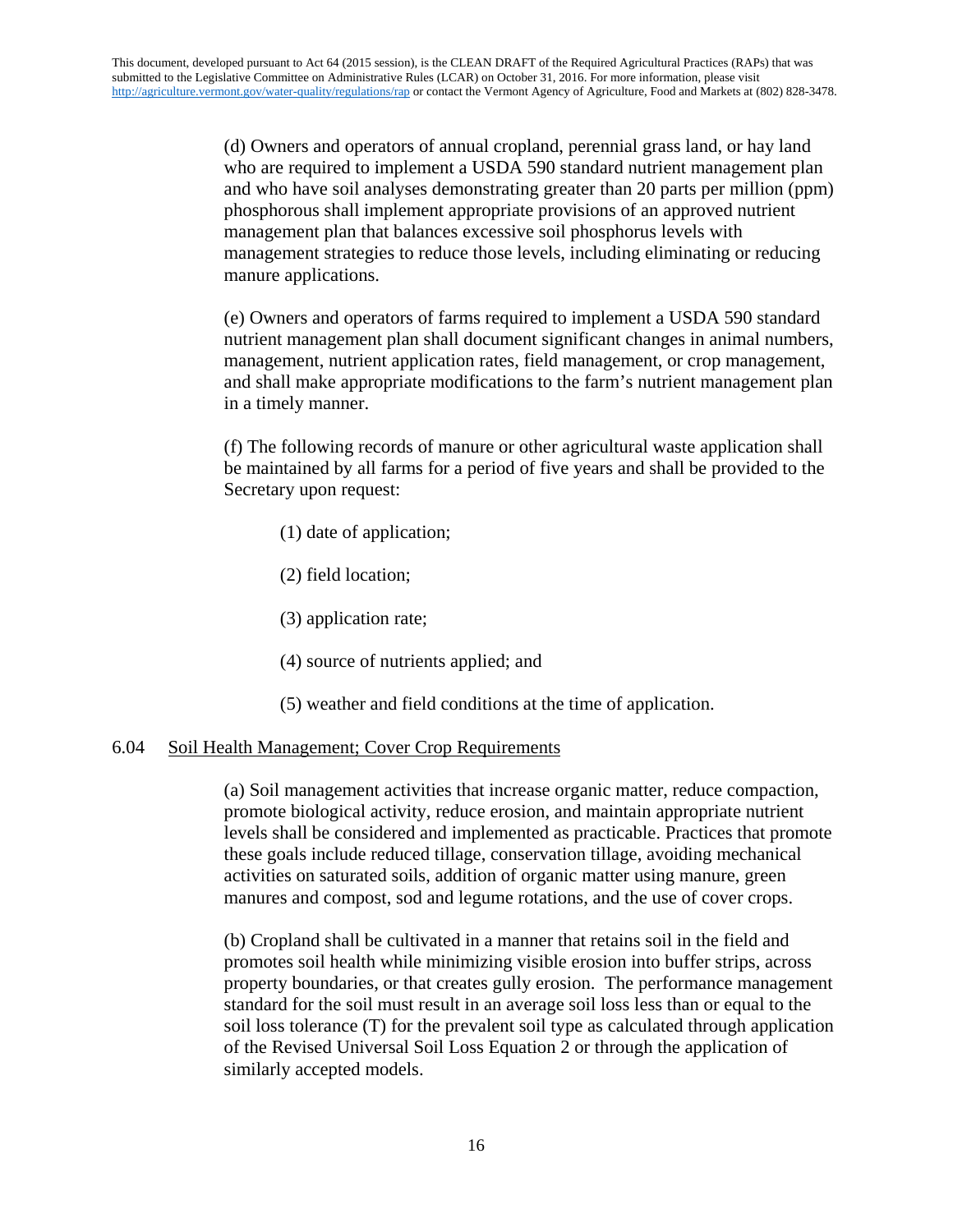(d) Owners and operators of annual cropland, perennial grass land, or hay land who are required to implement a USDA 590 standard nutrient management plan and who have soil analyses demonstrating greater than 20 parts per million (ppm) phosphorous shall implement appropriate provisions of an approved nutrient management plan that balances excessive soil phosphorus levels with management strategies to reduce those levels, including eliminating or reducing manure applications.

(e) Owners and operators of farms required to implement a USDA 590 standard nutrient management plan shall document significant changes in animal numbers, management, nutrient application rates, field management, or crop management, and shall make appropriate modifications to the farm's nutrient management plan in a timely manner.

(f) The following records of manure or other agricultural waste application shall be maintained by all farms for a period of five years and shall be provided to the Secretary upon request:

- (1) date of application;
- (2) field location;
- (3) application rate;
- (4) source of nutrients applied; and
- (5) weather and field conditions at the time of application.

## 6.04 Soil Health Management; Cover Crop Requirements

(a) Soil management activities that increase organic matter, reduce compaction, promote biological activity, reduce erosion, and maintain appropriate nutrient levels shall be considered and implemented as practicable. Practices that promote these goals include reduced tillage, conservation tillage, avoiding mechanical activities on saturated soils, addition of organic matter using manure, green manures and compost, sod and legume rotations, and the use of cover crops.

(b) Cropland shall be cultivated in a manner that retains soil in the field and promotes soil health while minimizing visible erosion into buffer strips, across property boundaries, or that creates gully erosion. The performance management standard for the soil must result in an average soil loss less than or equal to the soil loss tolerance (T) for the prevalent soil type as calculated through application of the Revised Universal Soil Loss Equation 2 or through the application of similarly accepted models.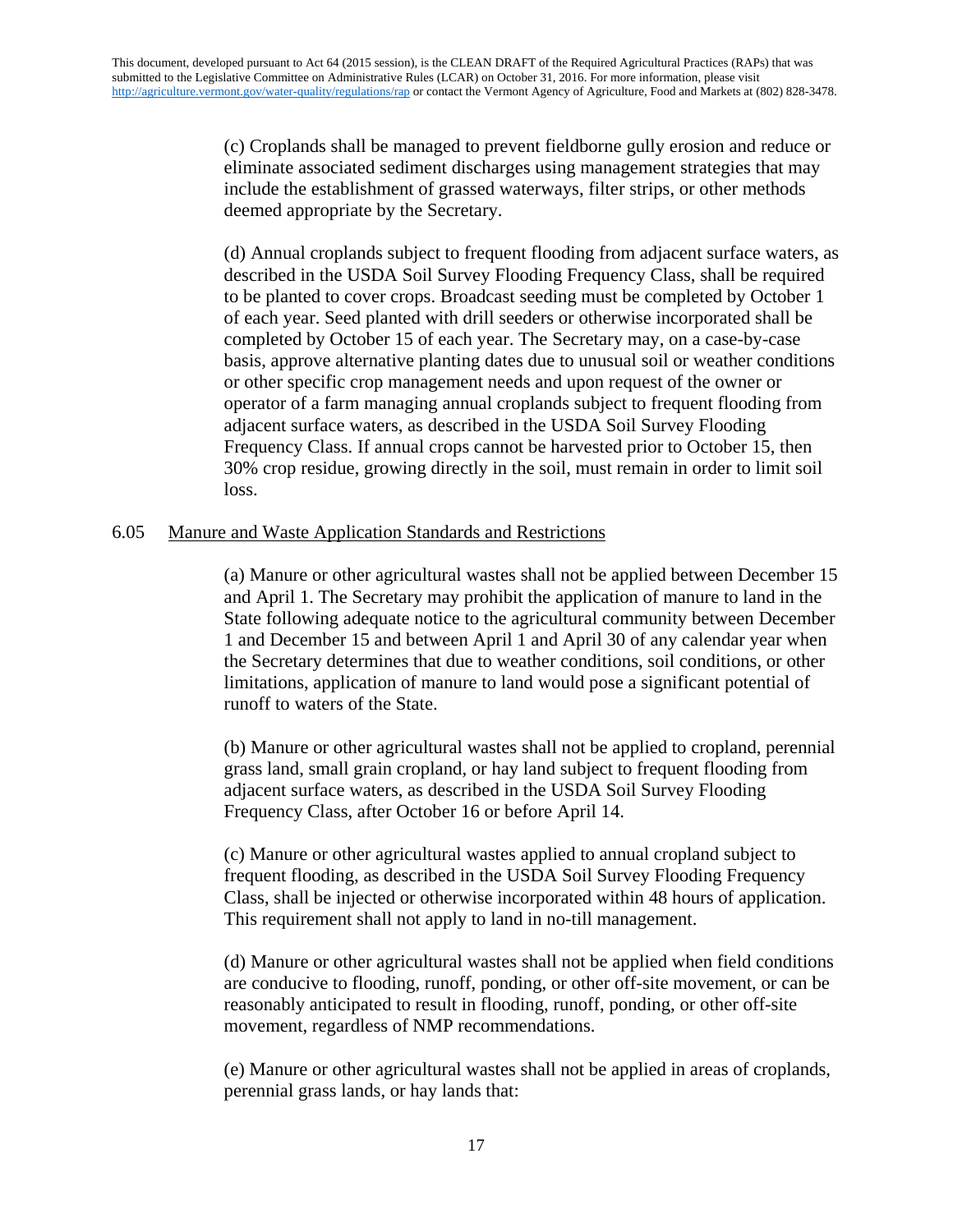(c) Croplands shall be managed to prevent fieldborne gully erosion and reduce or eliminate associated sediment discharges using management strategies that may include the establishment of grassed waterways, filter strips, or other methods deemed appropriate by the Secretary.

(d) Annual croplands subject to frequent flooding from adjacent surface waters, as described in the USDA Soil Survey Flooding Frequency Class, shall be required to be planted to cover crops. Broadcast seeding must be completed by October 1 of each year. Seed planted with drill seeders or otherwise incorporated shall be completed by October 15 of each year. The Secretary may, on a case-by-case basis, approve alternative planting dates due to unusual soil or weather conditions or other specific crop management needs and upon request of the owner or operator of a farm managing annual croplands subject to frequent flooding from adjacent surface waters, as described in the USDA Soil Survey Flooding Frequency Class. If annual crops cannot be harvested prior to October 15, then 30% crop residue, growing directly in the soil, must remain in order to limit soil loss.

## 6.05 Manure and Waste Application Standards and Restrictions

(a) Manure or other agricultural wastes shall not be applied between December 15 and April 1. The Secretary may prohibit the application of manure to land in the State following adequate notice to the agricultural community between December 1 and December 15 and between April 1 and April 30 of any calendar year when the Secretary determines that due to weather conditions, soil conditions, or other limitations, application of manure to land would pose a significant potential of runoff to waters of the State.

(b) Manure or other agricultural wastes shall not be applied to cropland, perennial grass land, small grain cropland, or hay land subject to frequent flooding from adjacent surface waters, as described in the USDA Soil Survey Flooding Frequency Class, after October 16 or before April 14.

(c) Manure or other agricultural wastes applied to annual cropland subject to frequent flooding, as described in the USDA Soil Survey Flooding Frequency Class, shall be injected or otherwise incorporated within 48 hours of application. This requirement shall not apply to land in no-till management.

(d) Manure or other agricultural wastes shall not be applied when field conditions are conducive to flooding, runoff, ponding, or other off-site movement, or can be reasonably anticipated to result in flooding, runoff, ponding, or other off-site movement, regardless of NMP recommendations.

(e) Manure or other agricultural wastes shall not be applied in areas of croplands, perennial grass lands, or hay lands that: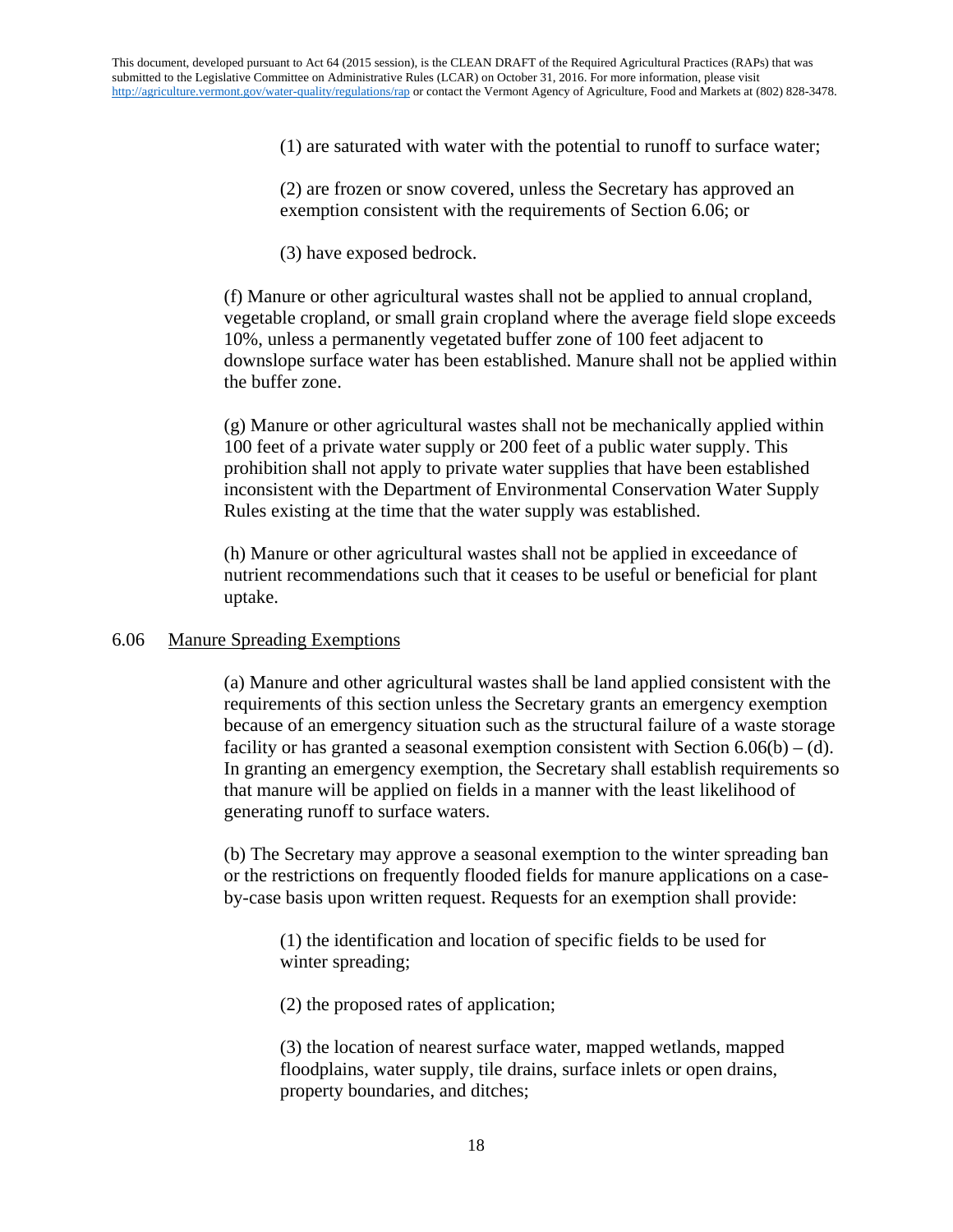(1) are saturated with water with the potential to runoff to surface water;

(2) are frozen or snow covered, unless the Secretary has approved an exemption consistent with the requirements of Section 6.06; or

(3) have exposed bedrock.

(f) Manure or other agricultural wastes shall not be applied to annual cropland, vegetable cropland, or small grain cropland where the average field slope exceeds 10%, unless a permanently vegetated buffer zone of 100 feet adjacent to downslope surface water has been established. Manure shall not be applied within the buffer zone.

(g) Manure or other agricultural wastes shall not be mechanically applied within 100 feet of a private water supply or 200 feet of a public water supply. This prohibition shall not apply to private water supplies that have been established inconsistent with the Department of Environmental Conservation Water Supply Rules existing at the time that the water supply was established.

(h) Manure or other agricultural wastes shall not be applied in exceedance of nutrient recommendations such that it ceases to be useful or beneficial for plant uptake.

## 6.06 Manure Spreading Exemptions

(a) Manure and other agricultural wastes shall be land applied consistent with the requirements of this section unless the Secretary grants an emergency exemption because of an emergency situation such as the structural failure of a waste storage facility or has granted a seasonal exemption consistent with Section  $6.06(b) - (d)$ . In granting an emergency exemption, the Secretary shall establish requirements so that manure will be applied on fields in a manner with the least likelihood of generating runoff to surface waters.

(b) The Secretary may approve a seasonal exemption to the winter spreading ban or the restrictions on frequently flooded fields for manure applications on a caseby-case basis upon written request. Requests for an exemption shall provide:

(1) the identification and location of specific fields to be used for winter spreading;

(2) the proposed rates of application;

(3) the location of nearest surface water, mapped wetlands, mapped floodplains, water supply, tile drains, surface inlets or open drains, property boundaries, and ditches;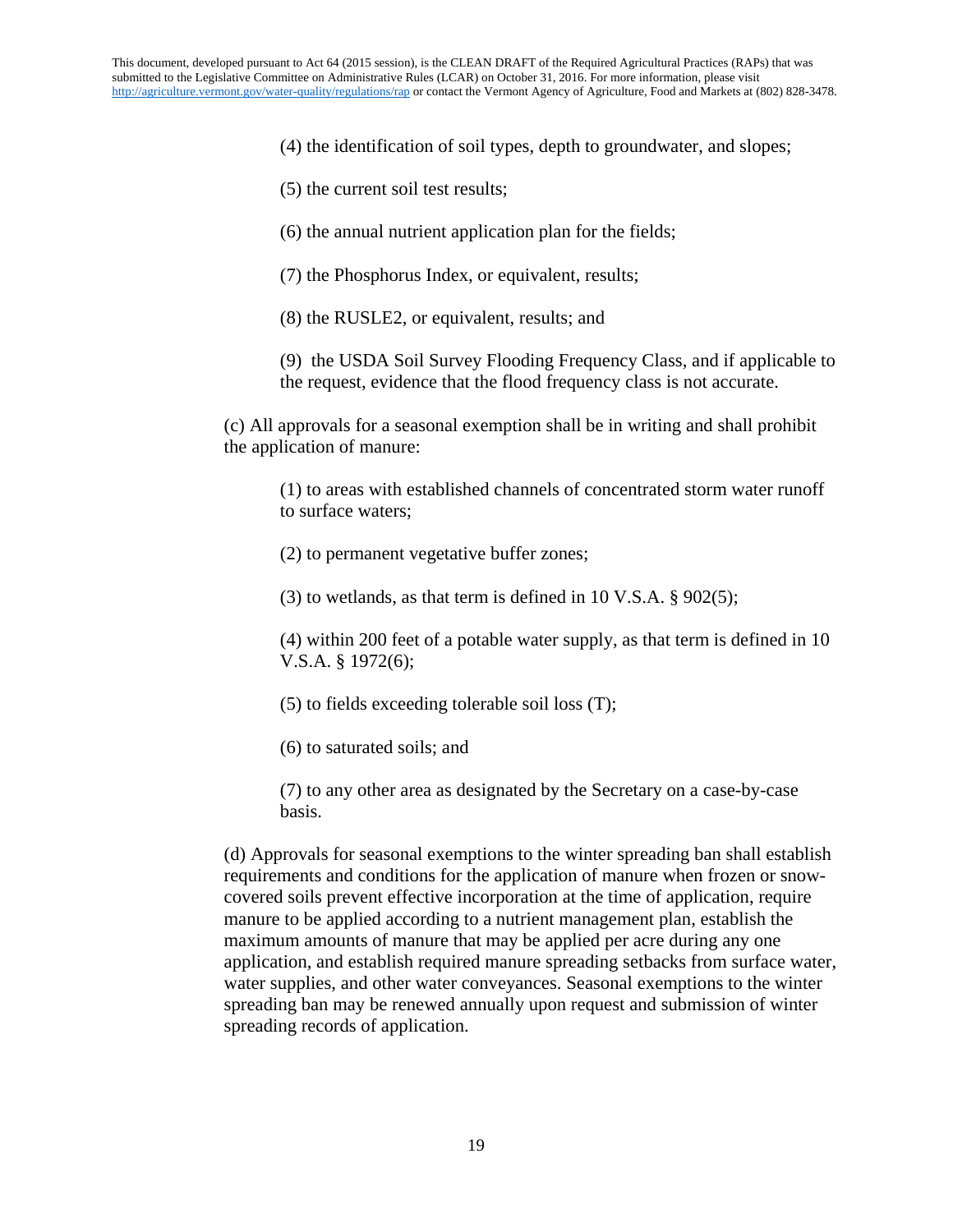(4) the identification of soil types, depth to groundwater, and slopes;

(5) the current soil test results;

(6) the annual nutrient application plan for the fields;

(7) the Phosphorus Index, or equivalent, results;

(8) the RUSLE2, or equivalent, results; and

(9) the USDA Soil Survey Flooding Frequency Class, and if applicable to the request, evidence that the flood frequency class is not accurate.

(c) All approvals for a seasonal exemption shall be in writing and shall prohibit the application of manure:

(1) to areas with established channels of concentrated storm water runoff to surface waters;

(2) to permanent vegetative buffer zones;

(3) to wetlands, as that term is defined in 10 V.S.A.  $\S 902(5)$ ;

(4) within 200 feet of a potable water supply, as that term is defined in 10 V.S.A. § 1972(6);

(5) to fields exceeding tolerable soil loss (T);

(6) to saturated soils; and

(7) to any other area as designated by the Secretary on a case-by-case basis.

(d) Approvals for seasonal exemptions to the winter spreading ban shall establish requirements and conditions for the application of manure when frozen or snowcovered soils prevent effective incorporation at the time of application, require manure to be applied according to a nutrient management plan, establish the maximum amounts of manure that may be applied per acre during any one application, and establish required manure spreading setbacks from surface water, water supplies, and other water conveyances. Seasonal exemptions to the winter spreading ban may be renewed annually upon request and submission of winter spreading records of application.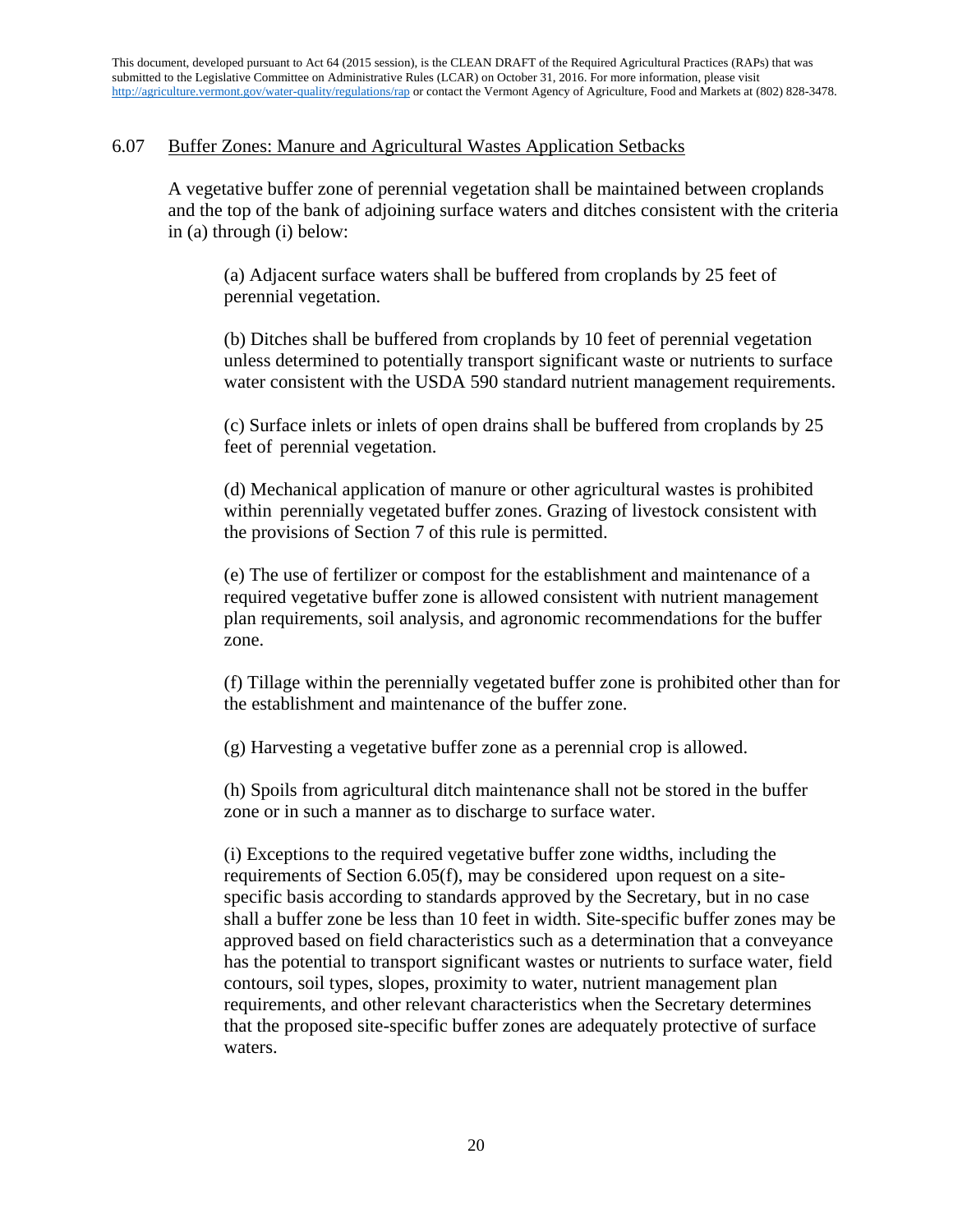## 6.07 Buffer Zones: Manure and Agricultural Wastes Application Setbacks

A vegetative buffer zone of perennial vegetation shall be maintained between croplands and the top of the bank of adjoining surface waters and ditches consistent with the criteria in (a) through (i) below:

(a) Adjacent surface waters shall be buffered from croplands by 25 feet of perennial vegetation.

(b) Ditches shall be buffered from croplands by 10 feet of perennial vegetation unless determined to potentially transport significant waste or nutrients to surface water consistent with the USDA 590 standard nutrient management requirements.

(c) Surface inlets or inlets of open drains shall be buffered from croplands by 25 feet of perennial vegetation.

(d) Mechanical application of manure or other agricultural wastes is prohibited within perennially vegetated buffer zones. Grazing of livestock consistent with the provisions of Section 7 of this rule is permitted.

(e) The use of fertilizer or compost for the establishment and maintenance of a required vegetative buffer zone is allowed consistent with nutrient management plan requirements, soil analysis, and agronomic recommendations for the buffer zone.

(f) Tillage within the perennially vegetated buffer zone is prohibited other than for the establishment and maintenance of the buffer zone.

(g) Harvesting a vegetative buffer zone as a perennial crop is allowed.

(h) Spoils from agricultural ditch maintenance shall not be stored in the buffer zone or in such a manner as to discharge to surface water.

(i) Exceptions to the required vegetative buffer zone widths, including the requirements of Section 6.05(f), may be considered upon request on a sitespecific basis according to standards approved by the Secretary, but in no case shall a buffer zone be less than 10 feet in width. Site-specific buffer zones may be approved based on field characteristics such as a determination that a conveyance has the potential to transport significant wastes or nutrients to surface water, field contours, soil types, slopes, proximity to water, nutrient management plan requirements, and other relevant characteristics when the Secretary determines that the proposed site-specific buffer zones are adequately protective of surface waters.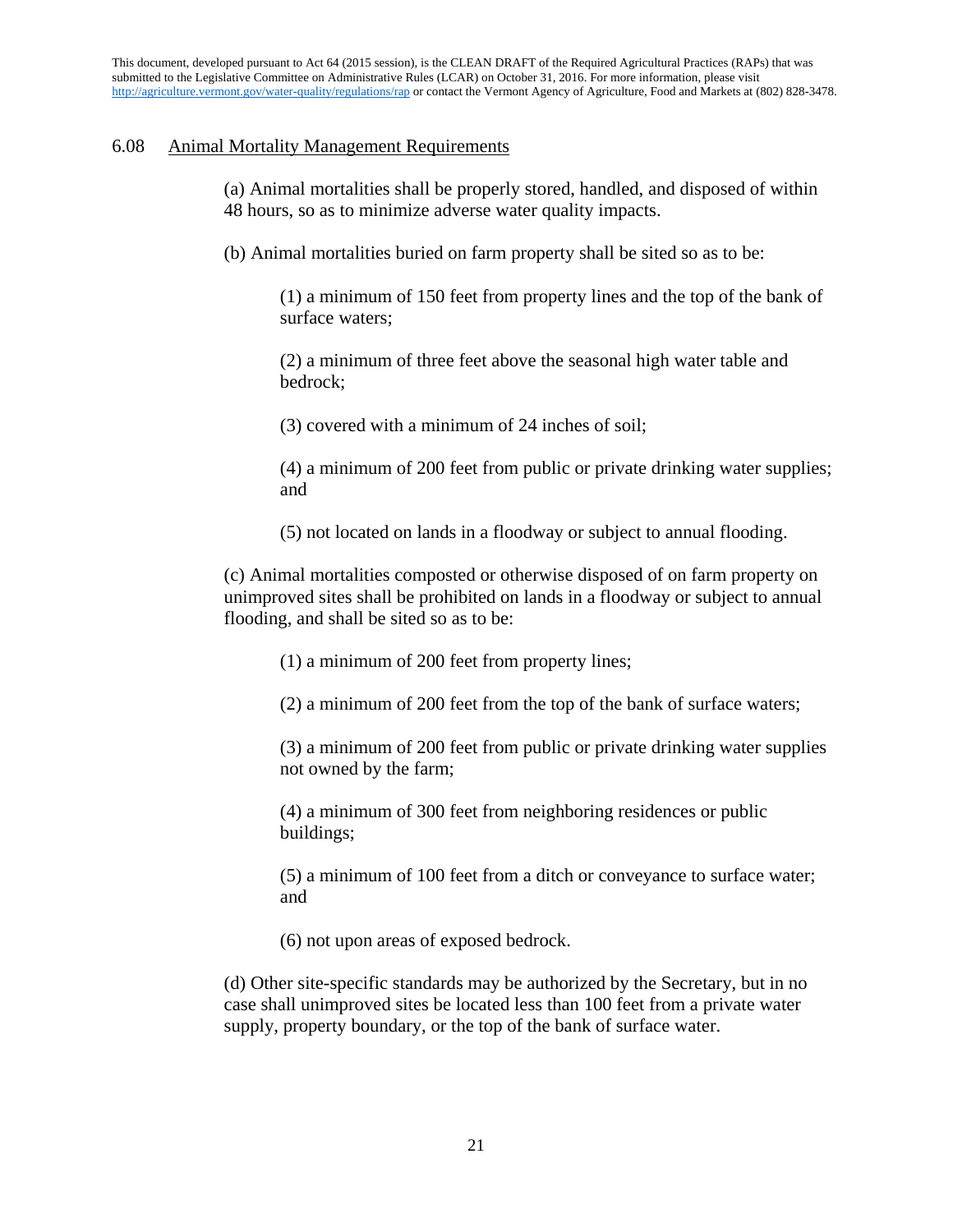## 6.08 Animal Mortality Management Requirements

(a) Animal mortalities shall be properly stored, handled, and disposed of within 48 hours, so as to minimize adverse water quality impacts.

(b) Animal mortalities buried on farm property shall be sited so as to be:

(1) a minimum of 150 feet from property lines and the top of the bank of surface waters;

(2) a minimum of three feet above the seasonal high water table and bedrock;

(3) covered with a minimum of 24 inches of soil;

(4) a minimum of 200 feet from public or private drinking water supplies; and

(5) not located on lands in a floodway or subject to annual flooding.

(c) Animal mortalities composted or otherwise disposed of on farm property on unimproved sites shall be prohibited on lands in a floodway or subject to annual flooding, and shall be sited so as to be:

(1) a minimum of 200 feet from property lines;

(2) a minimum of 200 feet from the top of the bank of surface waters;

(3) a minimum of 200 feet from public or private drinking water supplies not owned by the farm;

(4) a minimum of 300 feet from neighboring residences or public buildings;

(5) a minimum of 100 feet from a ditch or conveyance to surface water; and

(6) not upon areas of exposed bedrock.

(d) Other site-specific standards may be authorized by the Secretary, but in no case shall unimproved sites be located less than 100 feet from a private water supply, property boundary, or the top of the bank of surface water.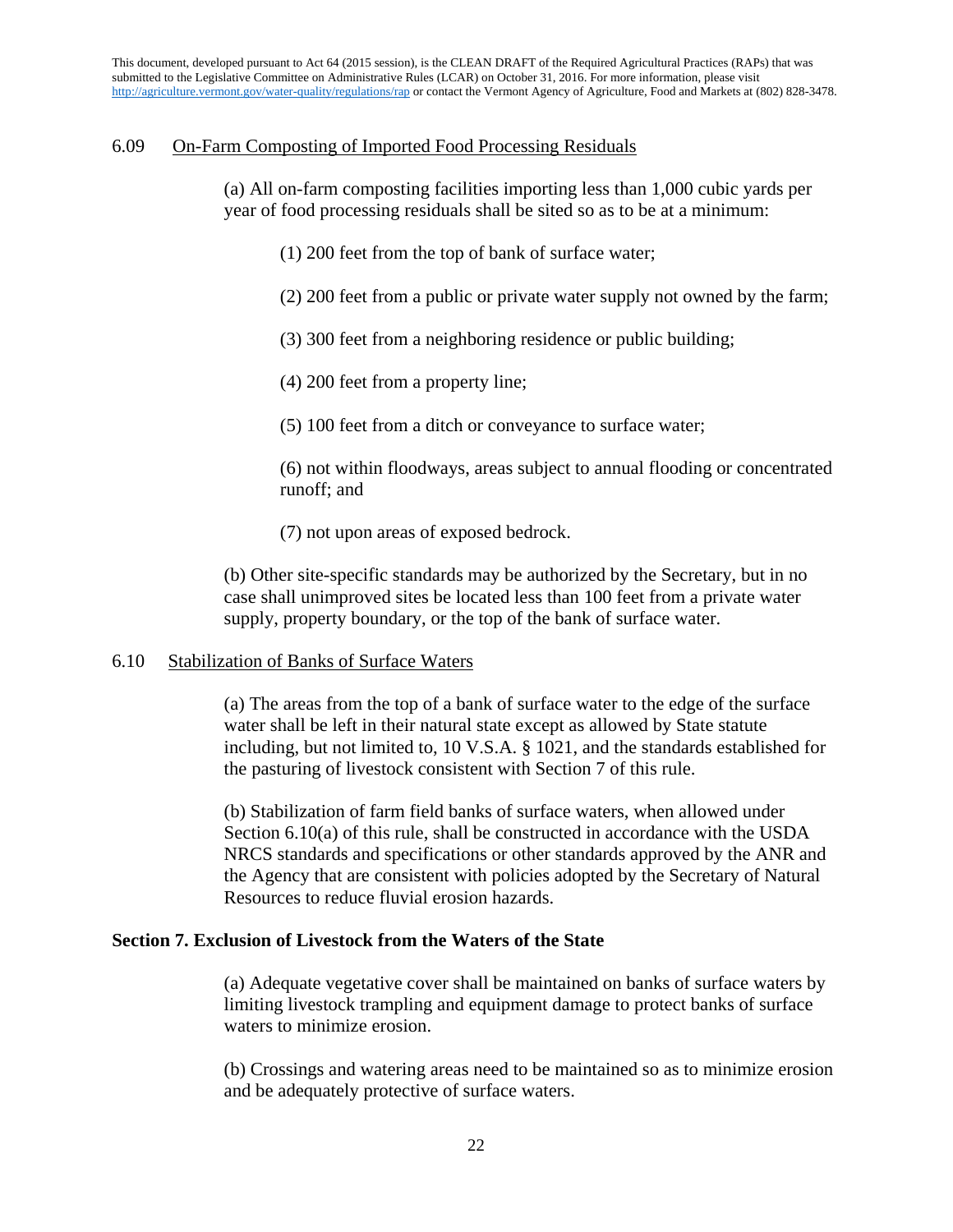# 6.09 On-Farm Composting of Imported Food Processing Residuals

(a) All on-farm composting facilities importing less than 1,000 cubic yards per year of food processing residuals shall be sited so as to be at a minimum:

- (1) 200 feet from the top of bank of surface water;
- (2) 200 feet from a public or private water supply not owned by the farm;
- (3) 300 feet from a neighboring residence or public building;
- (4) 200 feet from a property line;
- (5) 100 feet from a ditch or conveyance to surface water;

(6) not within floodways, areas subject to annual flooding or concentrated runoff; and

(7) not upon areas of exposed bedrock.

(b) Other site-specific standards may be authorized by the Secretary, but in no case shall unimproved sites be located less than 100 feet from a private water supply, property boundary, or the top of the bank of surface water.

## 6.10 Stabilization of Banks of Surface Waters

(a) The areas from the top of a bank of surface water to the edge of the surface water shall be left in their natural state except as allowed by State statute including, but not limited to, 10 V.S.A. § 1021, and the standards established for the pasturing of livestock consistent with Section 7 of this rule.

(b) Stabilization of farm field banks of surface waters, when allowed under Section 6.10(a) of this rule, shall be constructed in accordance with the USDA NRCS standards and specifications or other standards approved by the ANR and the Agency that are consistent with policies adopted by the Secretary of Natural Resources to reduce fluvial erosion hazards.

# **Section 7. Exclusion of Livestock from the Waters of the State**

(a) Adequate vegetative cover shall be maintained on banks of surface waters by limiting livestock trampling and equipment damage to protect banks of surface waters to minimize erosion.

(b) Crossings and watering areas need to be maintained so as to minimize erosion and be adequately protective of surface waters.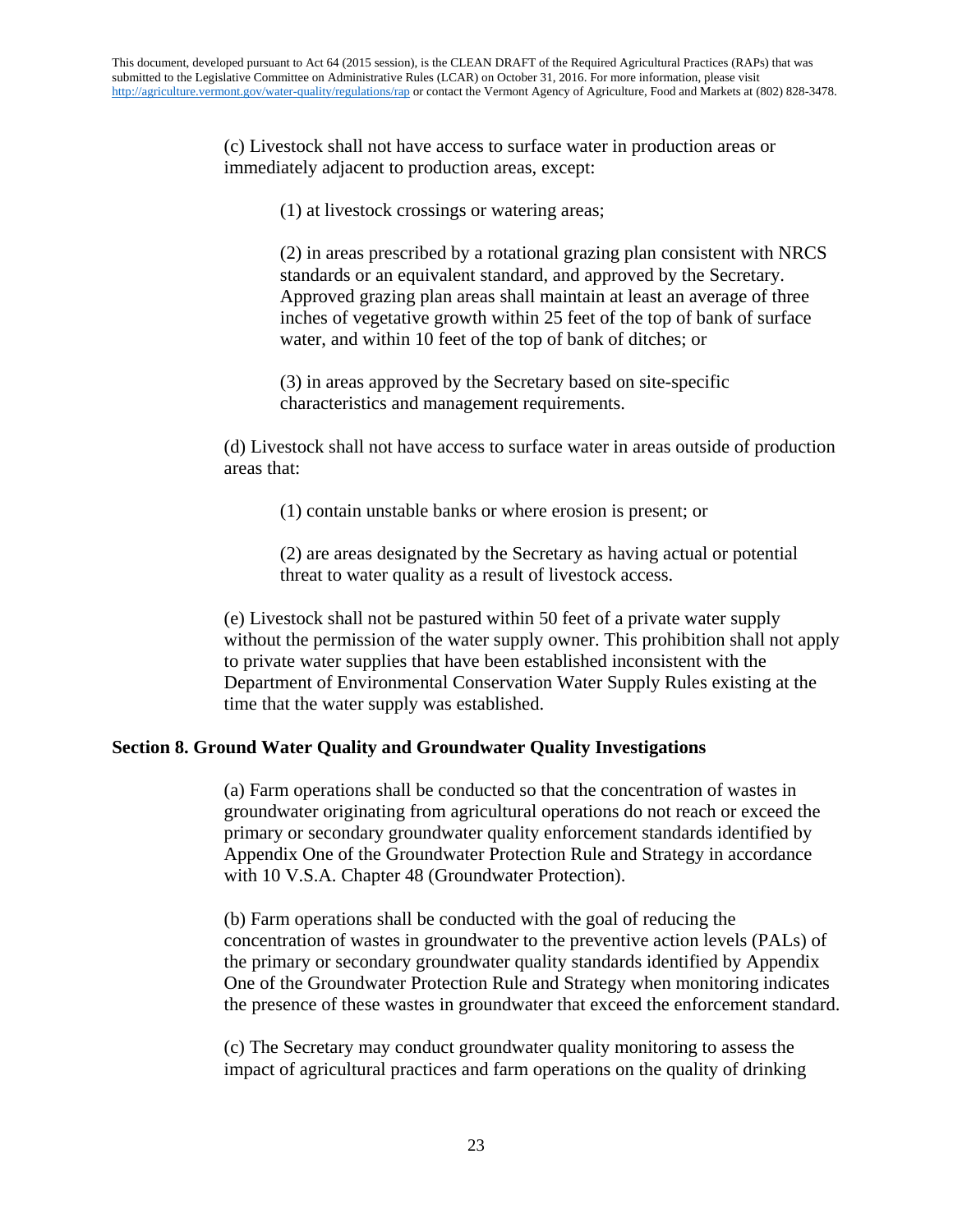(c) Livestock shall not have access to surface water in production areas or immediately adjacent to production areas, except:

(1) at livestock crossings or watering areas;

(2) in areas prescribed by a rotational grazing plan consistent with NRCS standards or an equivalent standard, and approved by the Secretary. Approved grazing plan areas shall maintain at least an average of three inches of vegetative growth within 25 feet of the top of bank of surface water, and within 10 feet of the top of bank of ditches; or

(3) in areas approved by the Secretary based on site-specific characteristics and management requirements.

(d) Livestock shall not have access to surface water in areas outside of production areas that:

(1) contain unstable banks or where erosion is present; or

(2) are areas designated by the Secretary as having actual or potential threat to water quality as a result of livestock access.

(e) Livestock shall not be pastured within 50 feet of a private water supply without the permission of the water supply owner. This prohibition shall not apply to private water supplies that have been established inconsistent with the Department of Environmental Conservation Water Supply Rules existing at the time that the water supply was established.

## **Section 8. Ground Water Quality and Groundwater Quality Investigations**

(a) Farm operations shall be conducted so that the concentration of wastes in groundwater originating from agricultural operations do not reach or exceed the primary or secondary groundwater quality enforcement standards identified by Appendix One of the Groundwater Protection Rule and Strategy in accordance with 10 V.S.A. Chapter 48 (Groundwater Protection).

(b) Farm operations shall be conducted with the goal of reducing the concentration of wastes in groundwater to the preventive action levels (PALs) of the primary or secondary groundwater quality standards identified by Appendix One of the Groundwater Protection Rule and Strategy when monitoring indicates the presence of these wastes in groundwater that exceed the enforcement standard.

(c) The Secretary may conduct groundwater quality monitoring to assess the impact of agricultural practices and farm operations on the quality of drinking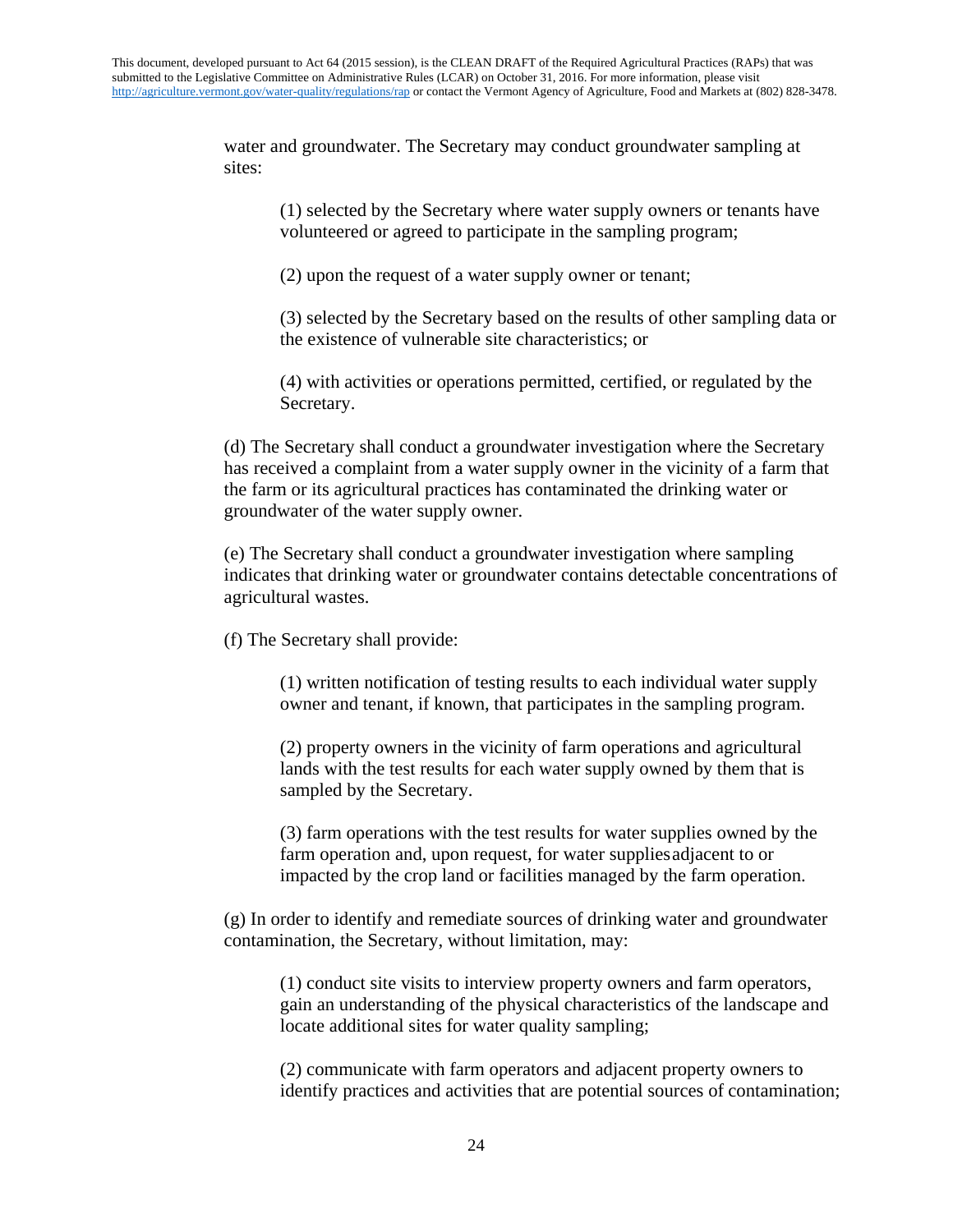water and groundwater. The Secretary may conduct groundwater sampling at sites:

(1) selected by the Secretary where water supply owners or tenants have volunteered or agreed to participate in the sampling program;

(2) upon the request of a water supply owner or tenant;

(3) selected by the Secretary based on the results of other sampling data or the existence of vulnerable site characteristics; or

(4) with activities or operations permitted, certified, or regulated by the Secretary.

(d) The Secretary shall conduct a groundwater investigation where the Secretary has received a complaint from a water supply owner in the vicinity of a farm that the farm or its agricultural practices has contaminated the drinking water or groundwater of the water supply owner.

(e) The Secretary shall conduct a groundwater investigation where sampling indicates that drinking water or groundwater contains detectable concentrations of agricultural wastes.

(f) The Secretary shall provide:

(1) written notification of testing results to each individual water supply owner and tenant, if known, that participates in the sampling program.

(2) property owners in the vicinity of farm operations and agricultural lands with the test results for each water supply owned by them that is sampled by the Secretary.

(3) farm operations with the test results for water supplies owned by the farm operation and, upon request, for water suppliesadjacent to or impacted by the crop land or facilities managed by the farm operation.

(g) In order to identify and remediate sources of drinking water and groundwater contamination, the Secretary, without limitation, may:

(1) conduct site visits to interview property owners and farm operators, gain an understanding of the physical characteristics of the landscape and locate additional sites for water quality sampling;

(2) communicate with farm operators and adjacent property owners to identify practices and activities that are potential sources of contamination;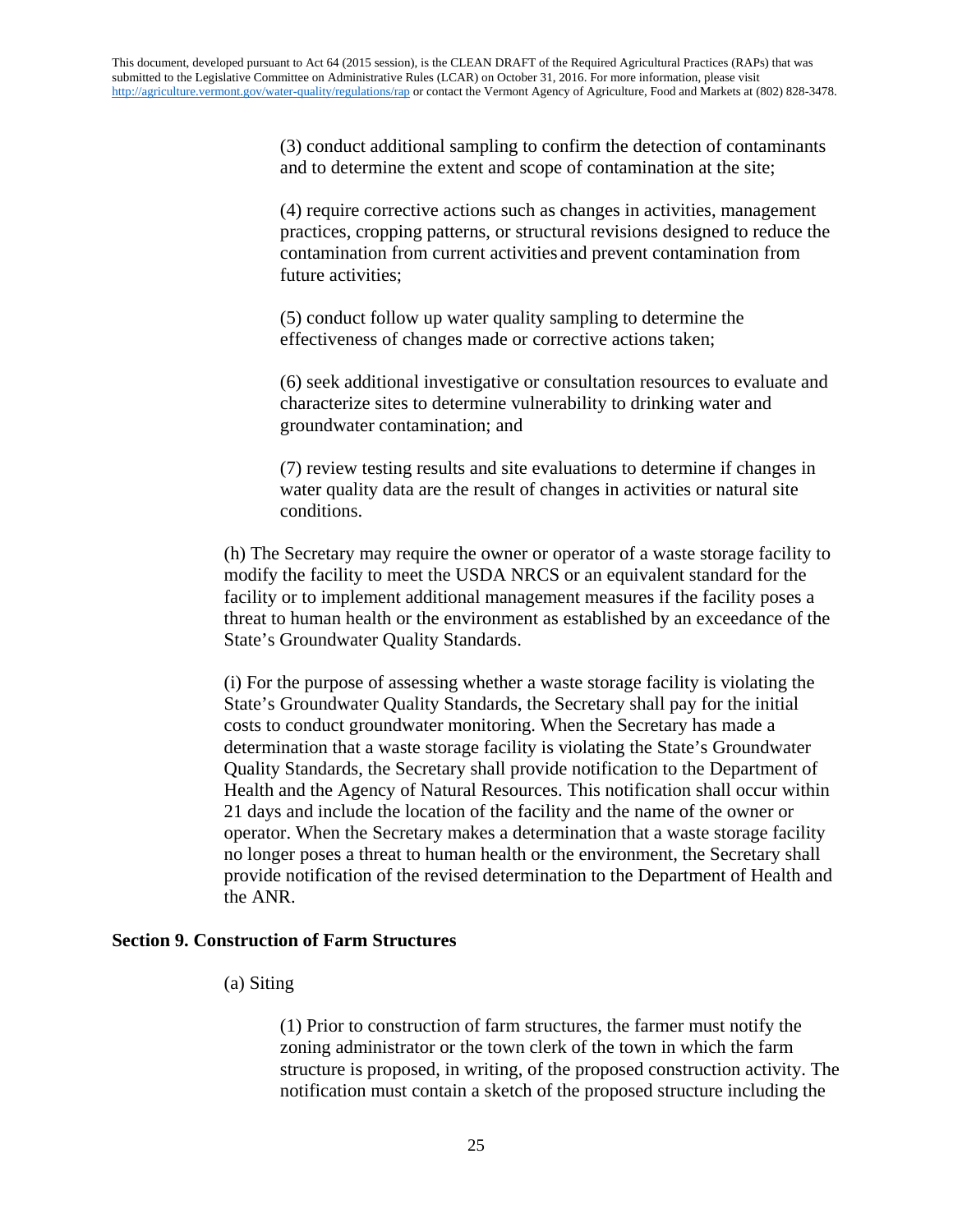(3) conduct additional sampling to confirm the detection of contaminants and to determine the extent and scope of contamination at the site;

(4) require corrective actions such as changes in activities, management practices, cropping patterns, or structural revisions designed to reduce the contamination from current activities and prevent contamination from future activities;

(5) conduct follow up water quality sampling to determine the effectiveness of changes made or corrective actions taken;

(6) seek additional investigative or consultation resources to evaluate and characterize sites to determine vulnerability to drinking water and groundwater contamination; and

(7) review testing results and site evaluations to determine if changes in water quality data are the result of changes in activities or natural site conditions.

(h) The Secretary may require the owner or operator of a waste storage facility to modify the facility to meet the USDA NRCS or an equivalent standard for the facility or to implement additional management measures if the facility poses a threat to human health or the environment as established by an exceedance of the State's Groundwater Quality Standards.

(i) For the purpose of assessing whether a waste storage facility is violating the State's Groundwater Quality Standards, the Secretary shall pay for the initial costs to conduct groundwater monitoring. When the Secretary has made a determination that a waste storage facility is violating the State's Groundwater Quality Standards, the Secretary shall provide notification to the Department of Health and the Agency of Natural Resources. This notification shall occur within 21 days and include the location of the facility and the name of the owner or operator. When the Secretary makes a determination that a waste storage facility no longer poses a threat to human health or the environment, the Secretary shall provide notification of the revised determination to the Department of Health and the ANR.

### **Section 9. Construction of Farm Structures**

### (a) Siting

(1) Prior to construction of farm structures, the farmer must notify the zoning administrator or the town clerk of the town in which the farm structure is proposed, in writing, of the proposed construction activity. The notification must contain a sketch of the proposed structure including the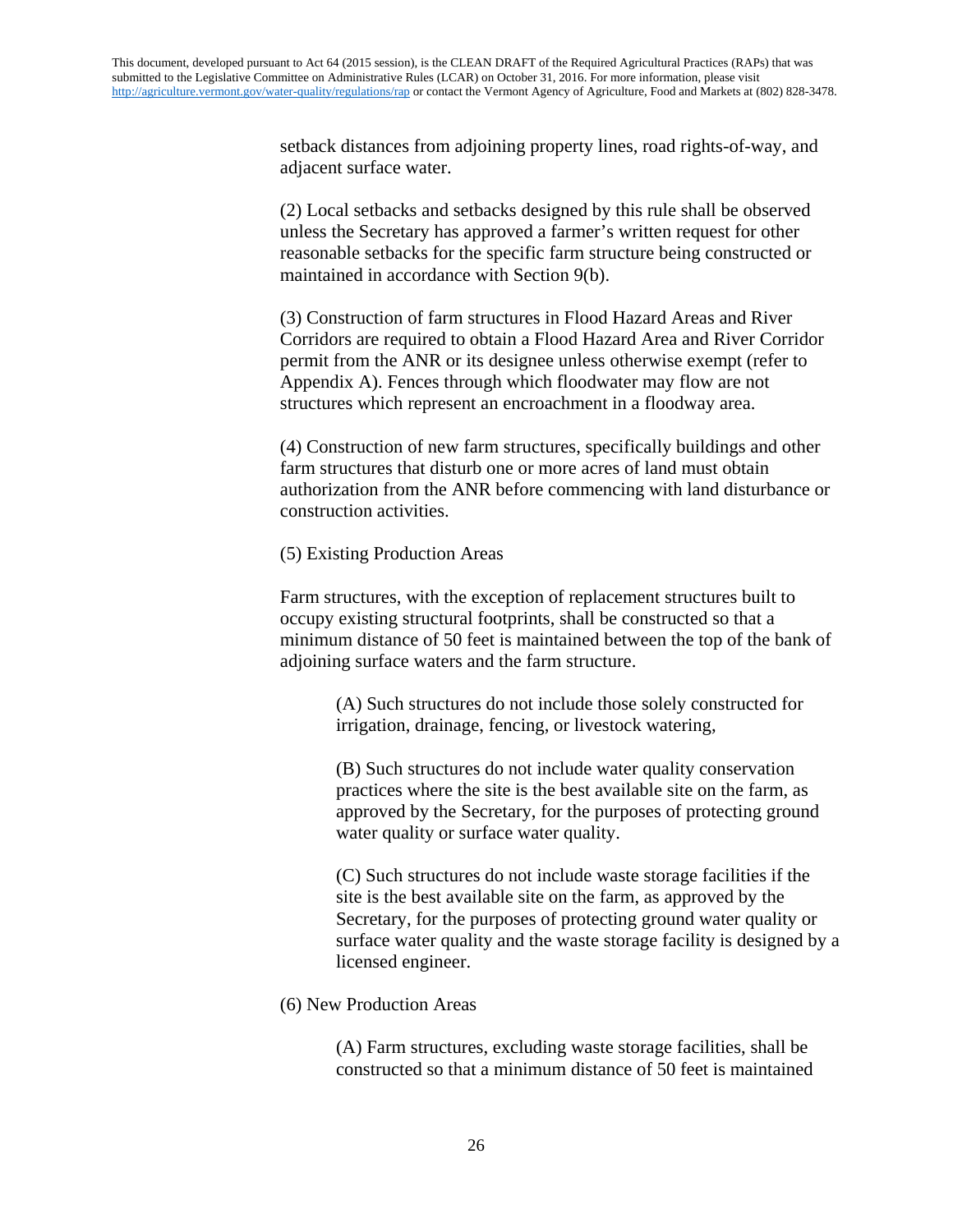setback distances from adjoining property lines, road rights-of-way, and adjacent surface water.

(2) Local setbacks and setbacks designed by this rule shall be observed unless the Secretary has approved a farmer's written request for other reasonable setbacks for the specific farm structure being constructed or maintained in accordance with Section 9(b).

(3) Construction of farm structures in Flood Hazard Areas and River Corridors are required to obtain a Flood Hazard Area and River Corridor permit from the ANR or its designee unless otherwise exempt (refer to Appendix A). Fences through which floodwater may flow are not structures which represent an encroachment in a floodway area.

(4) Construction of new farm structures, specifically buildings and other farm structures that disturb one or more acres of land must obtain authorization from the ANR before commencing with land disturbance or construction activities.

### (5) Existing Production Areas

Farm structures, with the exception of replacement structures built to occupy existing structural footprints, shall be constructed so that a minimum distance of 50 feet is maintained between the top of the bank of adjoining surface waters and the farm structure.

> (A) Such structures do not include those solely constructed for irrigation, drainage, fencing, or livestock watering,

(B) Such structures do not include water quality conservation practices where the site is the best available site on the farm, as approved by the Secretary, for the purposes of protecting ground water quality or surface water quality.

(C) Such structures do not include waste storage facilities if the site is the best available site on the farm, as approved by the Secretary, for the purposes of protecting ground water quality or surface water quality and the waste storage facility is designed by a licensed engineer.

## (6) New Production Areas

(A) Farm structures, excluding waste storage facilities, shall be constructed so that a minimum distance of 50 feet is maintained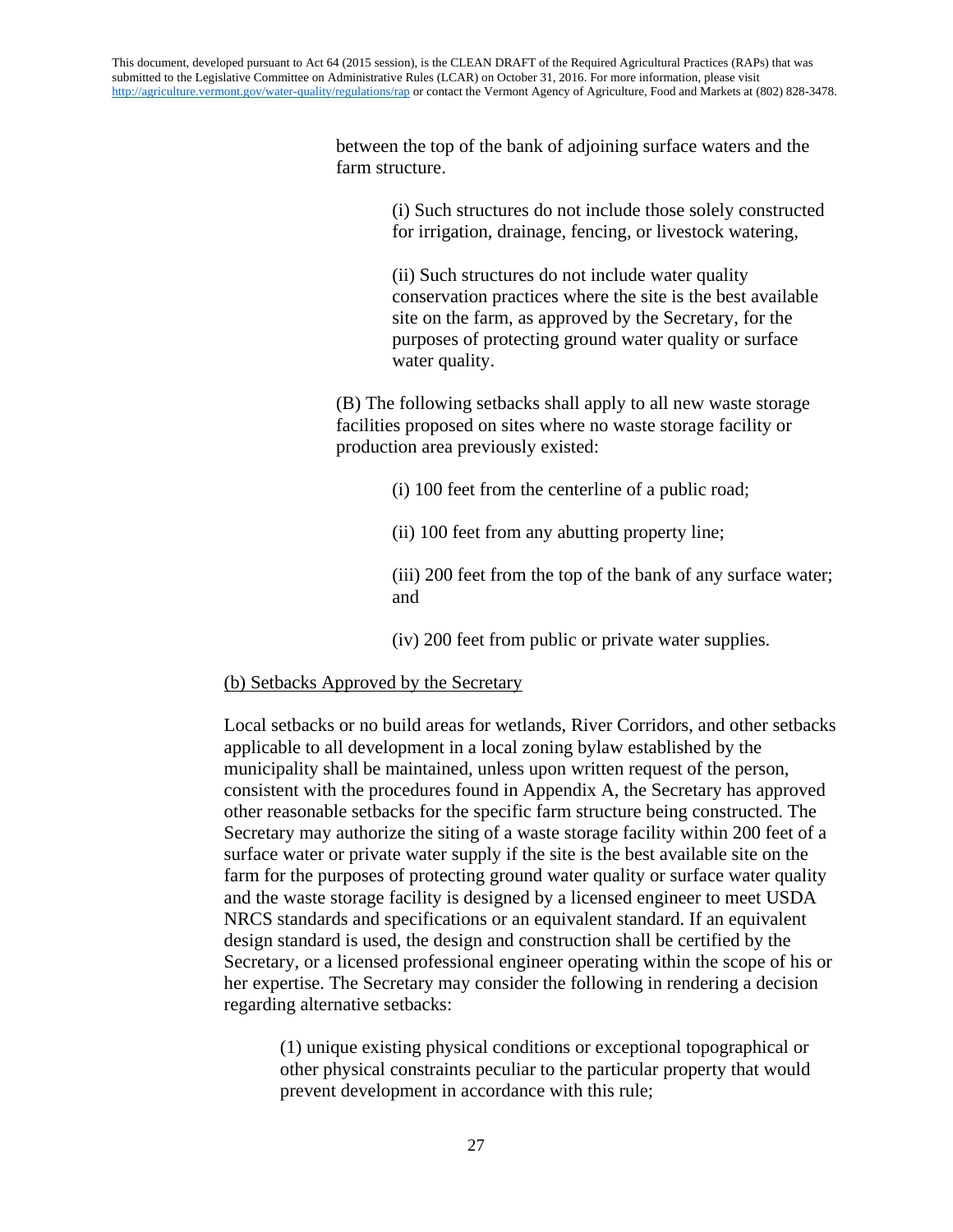between the top of the bank of adjoining surface waters and the farm structure.

> (i) Such structures do not include those solely constructed for irrigation, drainage, fencing, or livestock watering,

(ii) Such structures do not include water quality conservation practices where the site is the best available site on the farm, as approved by the Secretary, for the purposes of protecting ground water quality or surface water quality.

(B) The following setbacks shall apply to all new waste storage facilities proposed on sites where no waste storage facility or production area previously existed:

- (i) 100 feet from the centerline of a public road;
- (ii) 100 feet from any abutting property line;

(iii) 200 feet from the top of the bank of any surface water; and

(iv) 200 feet from public or private water supplies.

### (b) Setbacks Approved by the Secretary

Local setbacks or no build areas for wetlands, River Corridors, and other setbacks applicable to all development in a local zoning bylaw established by the municipality shall be maintained, unless upon written request of the person, consistent with the procedures found in Appendix A, the Secretary has approved other reasonable setbacks for the specific farm structure being constructed. The Secretary may authorize the siting of a waste storage facility within 200 feet of a surface water or private water supply if the site is the best available site on the farm for the purposes of protecting ground water quality or surface water quality and the waste storage facility is designed by a licensed engineer to meet USDA NRCS standards and specifications or an equivalent standard. If an equivalent design standard is used, the design and construction shall be certified by the Secretary, or a licensed professional engineer operating within the scope of his or her expertise. The Secretary may consider the following in rendering a decision regarding alternative setbacks:

(1) unique existing physical conditions or exceptional topographical or other physical constraints peculiar to the particular property that would prevent development in accordance with this rule;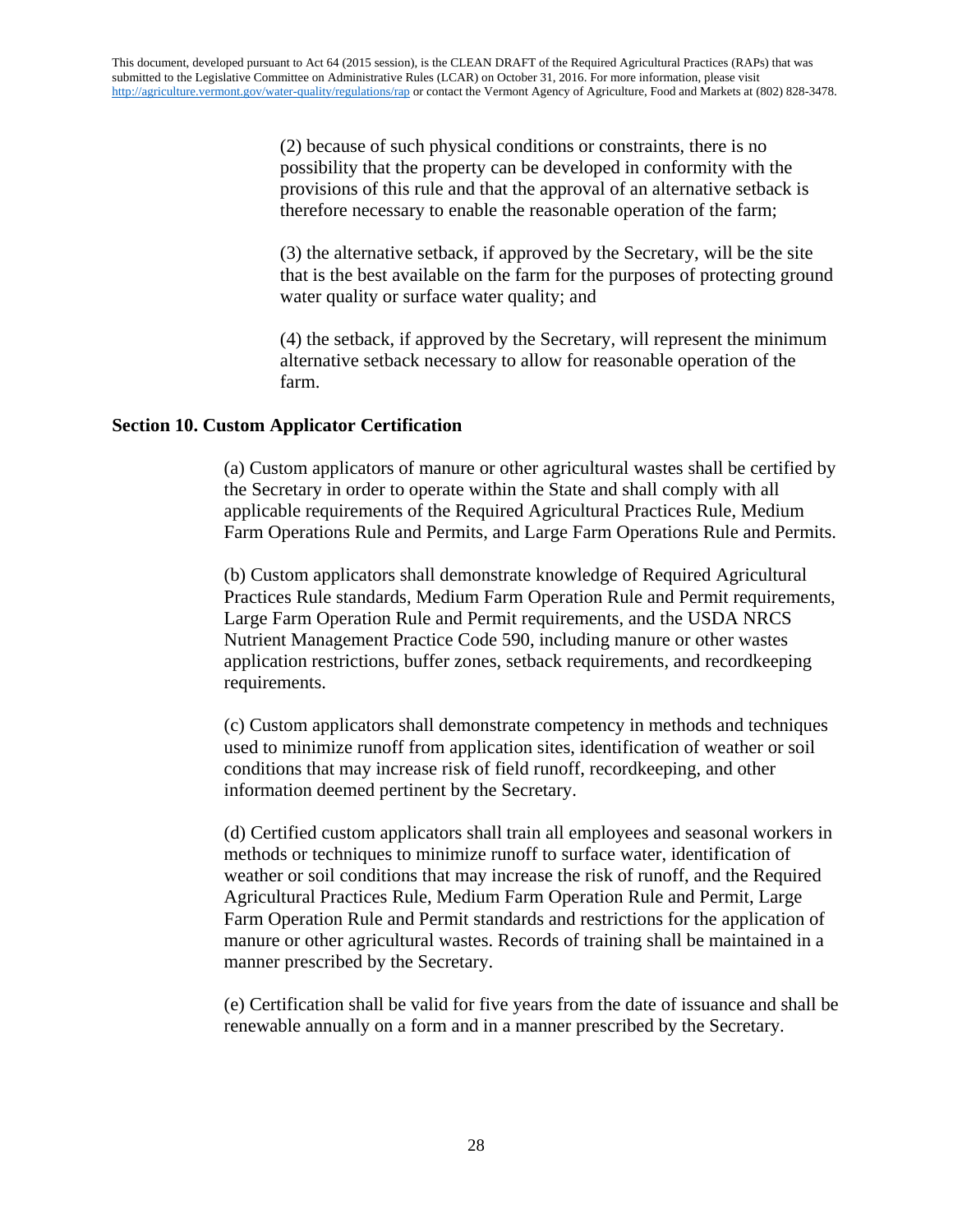(2) because of such physical conditions or constraints, there is no possibility that the property can be developed in conformity with the provisions of this rule and that the approval of an alternative setback is therefore necessary to enable the reasonable operation of the farm;

(3) the alternative setback, if approved by the Secretary, will be the site that is the best available on the farm for the purposes of protecting ground water quality or surface water quality; and

(4) the setback, if approved by the Secretary, will represent the minimum alternative setback necessary to allow for reasonable operation of the farm.

## **Section 10. Custom Applicator Certification**

(a) Custom applicators of manure or other agricultural wastes shall be certified by the Secretary in order to operate within the State and shall comply with all applicable requirements of the Required Agricultural Practices Rule, Medium Farm Operations Rule and Permits, and Large Farm Operations Rule and Permits.

(b) Custom applicators shall demonstrate knowledge of Required Agricultural Practices Rule standards, Medium Farm Operation Rule and Permit requirements, Large Farm Operation Rule and Permit requirements, and the USDA NRCS Nutrient Management Practice Code 590, including manure or other wastes application restrictions, buffer zones, setback requirements, and recordkeeping requirements.

(c) Custom applicators shall demonstrate competency in methods and techniques used to minimize runoff from application sites, identification of weather or soil conditions that may increase risk of field runoff, recordkeeping, and other information deemed pertinent by the Secretary.

(d) Certified custom applicators shall train all employees and seasonal workers in methods or techniques to minimize runoff to surface water, identification of weather or soil conditions that may increase the risk of runoff, and the Required Agricultural Practices Rule, Medium Farm Operation Rule and Permit, Large Farm Operation Rule and Permit standards and restrictions for the application of manure or other agricultural wastes. Records of training shall be maintained in a manner prescribed by the Secretary.

(e) Certification shall be valid for five years from the date of issuance and shall be renewable annually on a form and in a manner prescribed by the Secretary.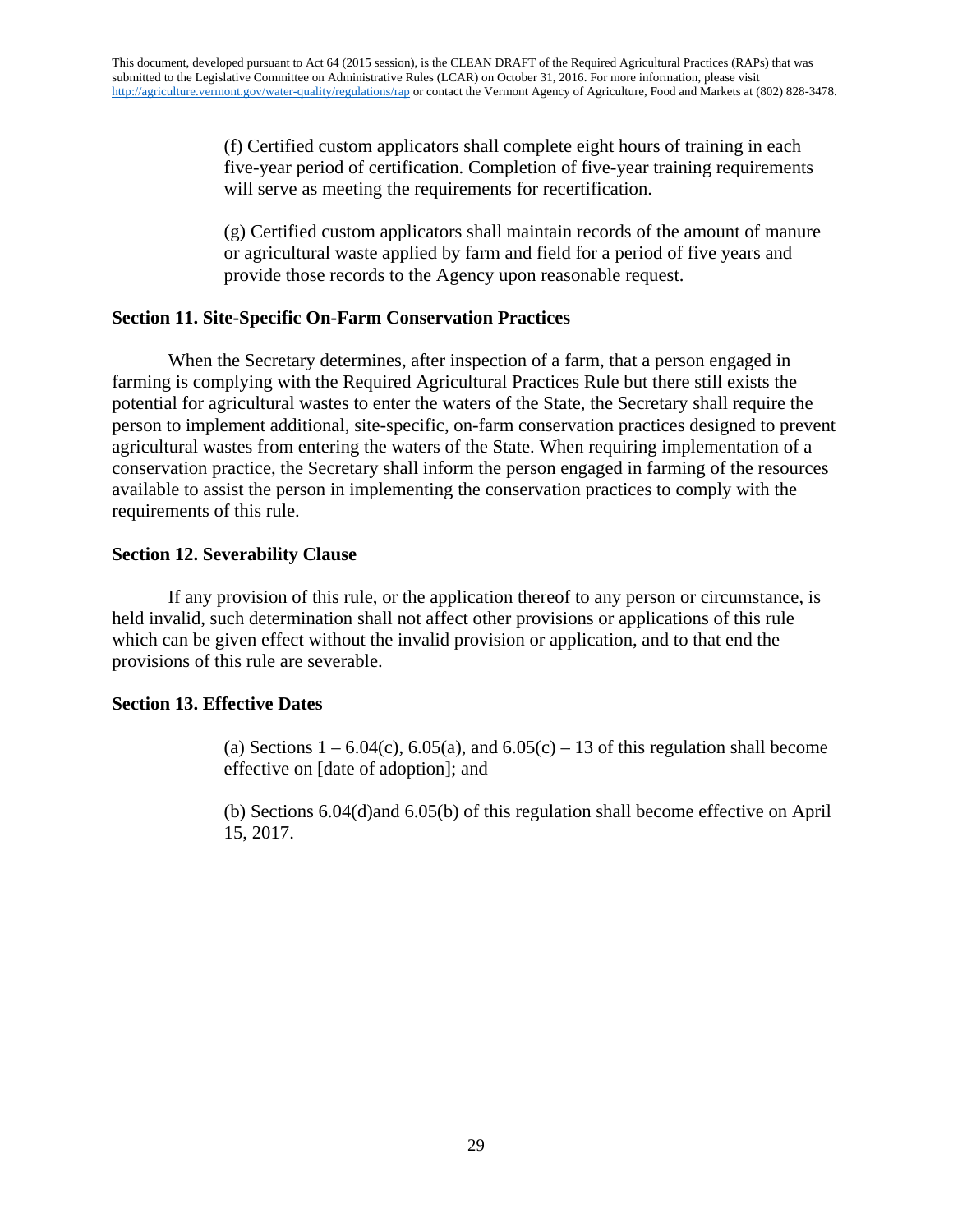(f) Certified custom applicators shall complete eight hours of training in each five-year period of certification. Completion of five-year training requirements will serve as meeting the requirements for recertification.

(g) Certified custom applicators shall maintain records of the amount of manure or agricultural waste applied by farm and field for a period of five years and provide those records to the Agency upon reasonable request.

### **Section 11. Site-Specific On-Farm Conservation Practices**

When the Secretary determines, after inspection of a farm, that a person engaged in farming is complying with the Required Agricultural Practices Rule but there still exists the potential for agricultural wastes to enter the waters of the State, the Secretary shall require the person to implement additional, site-specific, on-farm conservation practices designed to prevent agricultural wastes from entering the waters of the State. When requiring implementation of a conservation practice, the Secretary shall inform the person engaged in farming of the resources available to assist the person in implementing the conservation practices to comply with the requirements of this rule.

## **Section 12. Severability Clause**

If any provision of this rule, or the application thereof to any person or circumstance, is held invalid, such determination shall not affect other provisions or applications of this rule which can be given effect without the invalid provision or application, and to that end the provisions of this rule are severable.

## **Section 13. Effective Dates**

(a) Sections  $1 - 6.04(c)$ ,  $6.05(a)$ , and  $6.05(c) - 13$  of this regulation shall become effective on [date of adoption]; and

(b) Sections 6.04(d)and 6.05(b) of this regulation shall become effective on April 15, 2017.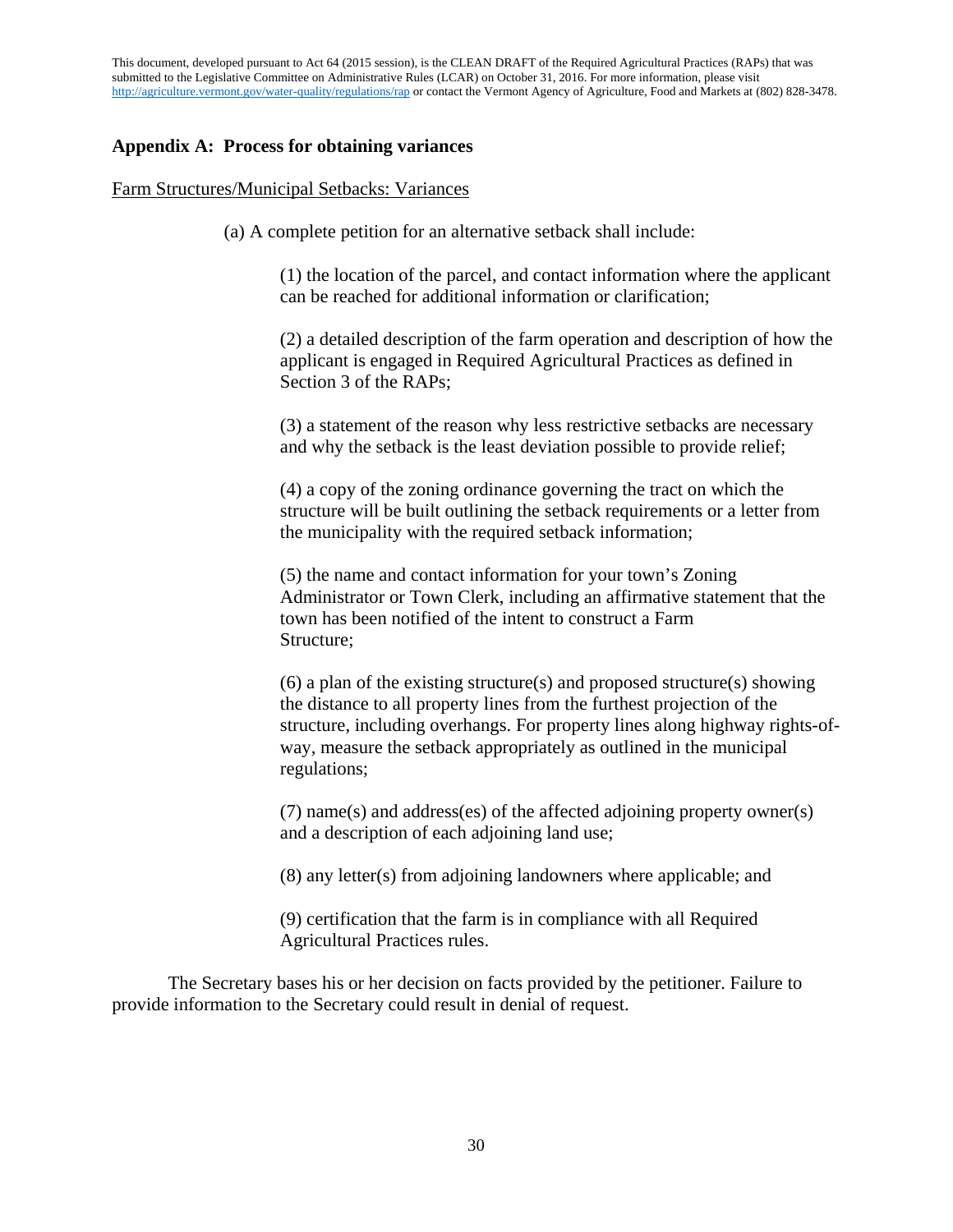This document, developed pursuant to Act 64 (2015 session), is the CLEAN DRAFT of the Required Agricultural Practices (RAPs) that was submitted to the Legislative Committee on Administrative Rules (LCAR) on October 31, 2016. For more information, please visit <http://agriculture.vermont.gov/water-quality/regulations/rap> or contact the Vermont Agency of Agriculture, Food and Markets at (802) 828-3478.

### **Appendix A: Process for obtaining variances**

#### Farm Structures/Municipal Setbacks: Variances

(a) A complete petition for an alternative setback shall include:

(1) the location of the parcel, and contact information where the applicant can be reached for additional information or clarification;

(2) a detailed description of the farm operation and description of how the applicant is engaged in Required Agricultural Practices as defined in Section 3 of the RAPs;

(3) a statement of the reason why less restrictive setbacks are necessary and why the setback is the least deviation possible to provide relief;

(4) a copy of the zoning ordinance governing the tract on which the structure will be built outlining the setback requirements or a letter from the municipality with the required setback information;

(5) the name and contact information for your town's Zoning Administrator or Town Clerk, including an affirmative statement that the town has been notified of the intent to construct a Farm Structure;

(6) a plan of the existing structure(s) and proposed structure(s) showing the distance to all property lines from the furthest projection of the structure, including overhangs. For property lines along highway rights-ofway, measure the setback appropriately as outlined in the municipal regulations;

(7) name(s) and address(es) of the affected adjoining property owner(s) and a description of each adjoining land use;

(8) any letter(s) from adjoining landowners where applicable; and

(9) certification that the farm is in compliance with all Required Agricultural Practices rules.

The Secretary bases his or her decision on facts provided by the petitioner. Failure to provide information to the Secretary could result in denial of request.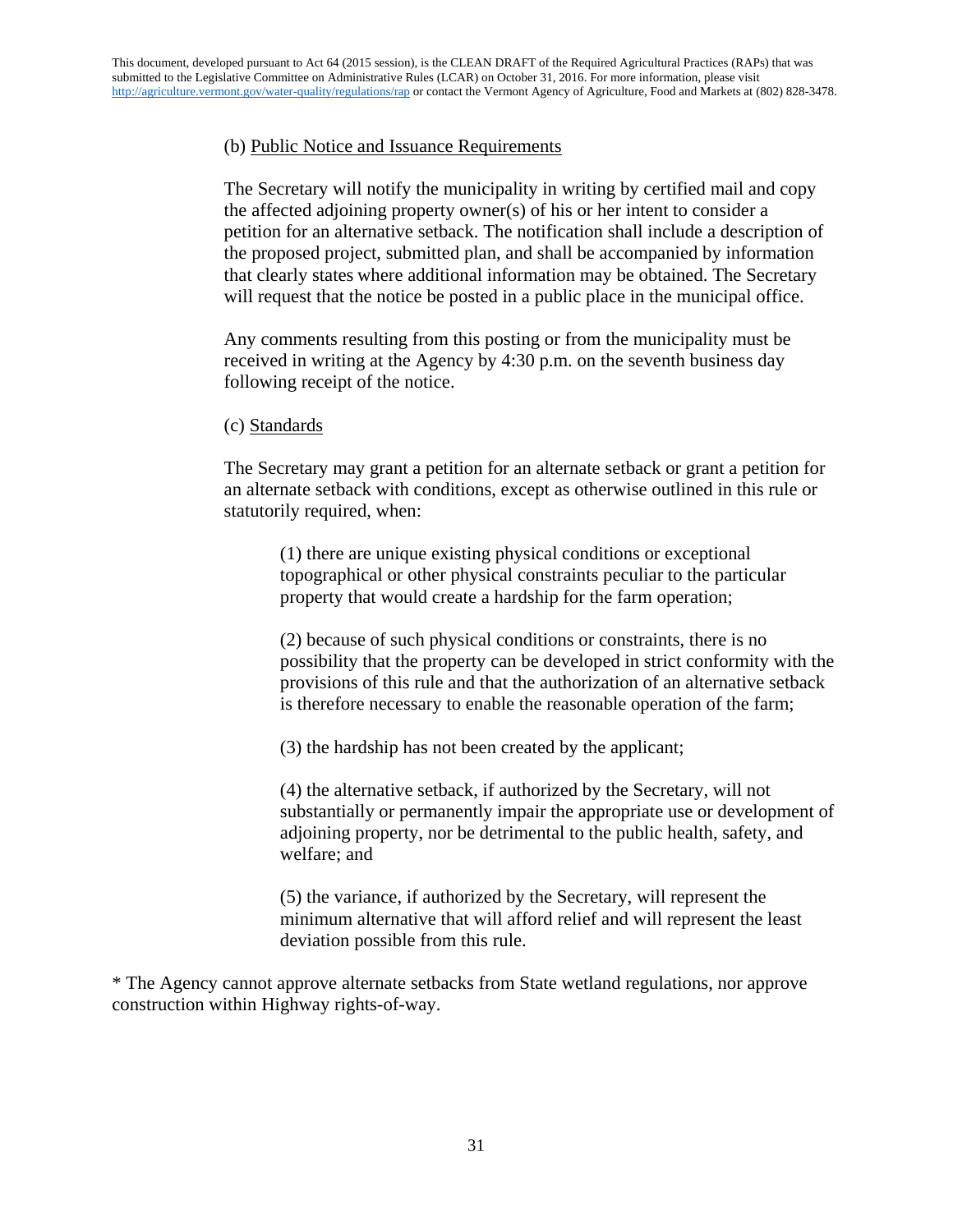## (b) Public Notice and Issuance Requirements

The Secretary will notify the municipality in writing by certified mail and copy the affected adjoining property owner(s) of his or her intent to consider a petition for an alternative setback. The notification shall include a description of the proposed project, submitted plan, and shall be accompanied by information that clearly states where additional information may be obtained. The Secretary will request that the notice be posted in a public place in the municipal office.

Any comments resulting from this posting or from the municipality must be received in writing at the Agency by 4:30 p.m. on the seventh business day following receipt of the notice.

### (c) Standards

The Secretary may grant a petition for an alternate setback or grant a petition for an alternate setback with conditions, except as otherwise outlined in this rule or statutorily required, when:

(1) there are unique existing physical conditions or exceptional topographical or other physical constraints peculiar to the particular property that would create a hardship for the farm operation;

(2) because of such physical conditions or constraints, there is no possibility that the property can be developed in strict conformity with the provisions of this rule and that the authorization of an alternative setback is therefore necessary to enable the reasonable operation of the farm;

(3) the hardship has not been created by the applicant;

(4) the alternative setback, if authorized by the Secretary, will not substantially or permanently impair the appropriate use or development of adjoining property, nor be detrimental to the public health, safety, and welfare; and

(5) the variance, if authorized by the Secretary, will represent the minimum alternative that will afford relief and will represent the least deviation possible from this rule.

\* The Agency cannot approve alternate setbacks from State wetland regulations, nor approve construction within Highway rights-of-way.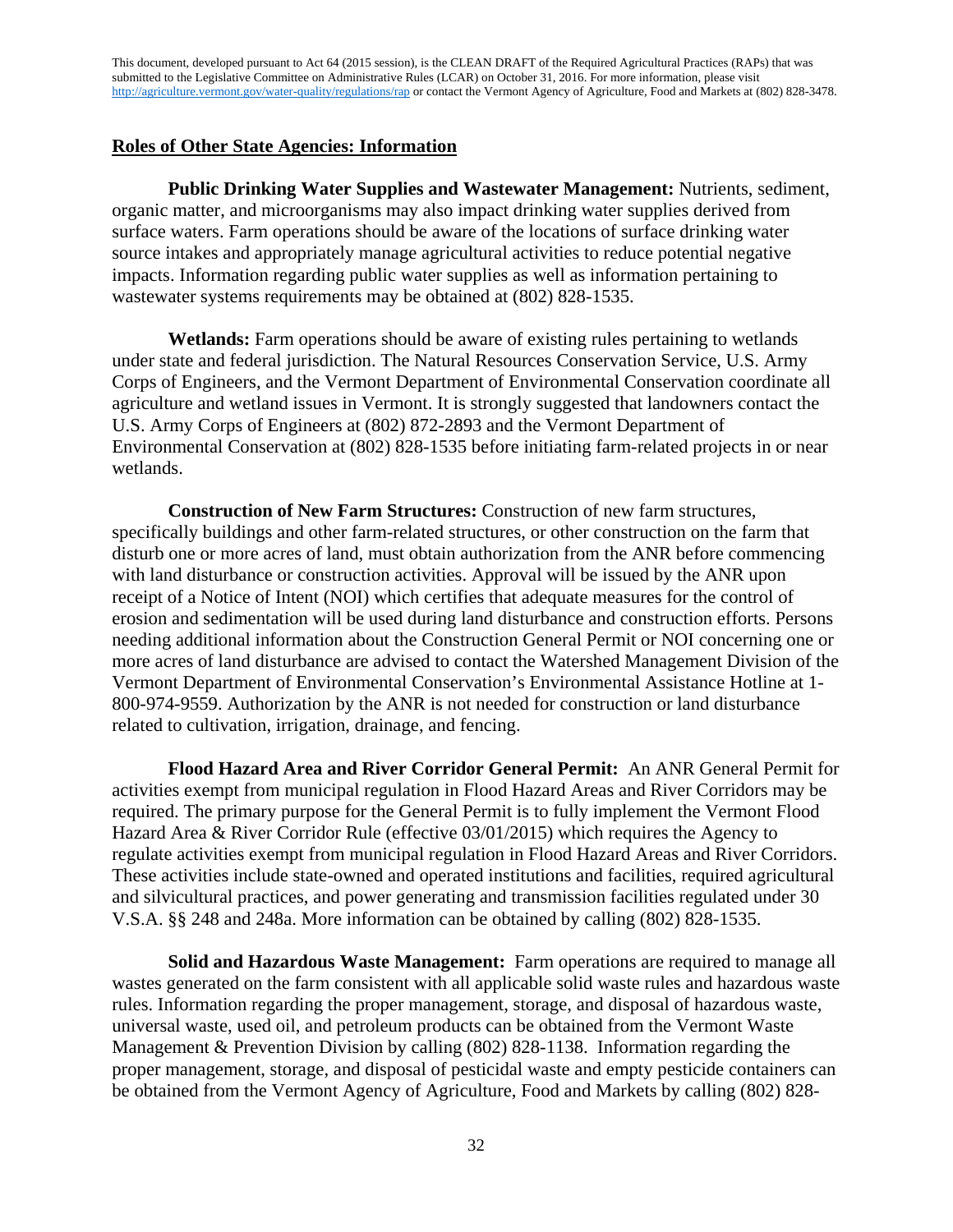This document, developed pursuant to Act 64 (2015 session), is the CLEAN DRAFT of the Required Agricultural Practices (RAPs) that was submitted to the Legislative Committee on Administrative Rules (LCAR) on October 31, 2016. For more information, please visit <http://agriculture.vermont.gov/water-quality/regulations/rap> or contact the Vermont Agency of Agriculture, Food and Markets at (802) 828-3478.

### **Roles of Other State Agencies: Information**

**Public Drinking Water Supplies and Wastewater Management:** Nutrients, sediment, organic matter, and microorganisms may also impact drinking water supplies derived from surface waters. Farm operations should be aware of the locations of surface drinking water source intakes and appropriately manage agricultural activities to reduce potential negative impacts. Information regarding public water supplies as well as information pertaining to wastewater systems requirements may be obtained at (802) 828-1535.

**Wetlands:** Farm operations should be aware of existing rules pertaining to wetlands under state and federal jurisdiction. The Natural Resources Conservation Service, U.S. Army Corps of Engineers, and the Vermont Department of Environmental Conservation coordinate all agriculture and wetland issues in Vermont. It is strongly suggested that landowners contact the U.S. Army Corps of Engineers at (802) 872-2893 and the Vermont Department of Environmental Conservation at (802) 828-1535 before initiating farm-related projects in or near wetlands.

**Construction of New Farm Structures:** Construction of new farm structures, specifically buildings and other farm-related structures, or other construction on the farm that disturb one or more acres of land, must obtain authorization from the ANR before commencing with land disturbance or construction activities. Approval will be issued by the ANR upon receipt of a Notice of Intent (NOI) which certifies that adequate measures for the control of erosion and sedimentation will be used during land disturbance and construction efforts. Persons needing additional information about the Construction General Permit or NOI concerning one or more acres of land disturbance are advised to contact the Watershed Management Division of the Vermont Department of Environmental Conservation's Environmental Assistance Hotline at 1- 800-974-9559. Authorization by the ANR is not needed for construction or land disturbance related to cultivation, irrigation, drainage, and fencing.

**Flood Hazard Area and River Corridor General Permit:** An ANR General Permit for activities exempt from municipal regulation in Flood Hazard Areas and River Corridors may be required. The primary purpose for the General Permit is to fully implement the Vermont Flood Hazard Area & River Corridor Rule (effective 03/01/2015) which requires the Agency to regulate activities exempt from municipal regulation in Flood Hazard Areas and River Corridors. These activities include state-owned and operated institutions and facilities, required agricultural and silvicultural practices, and power generating and transmission facilities regulated under 30 V.S.A. §§ 248 and 248a. More information can be obtained by calling (802) 828-1535.

**Solid and Hazardous Waste Management:** Farm operations are required to manage all wastes generated on the farm consistent with all applicable solid waste rules and hazardous waste rules. Information regarding the proper management, storage, and disposal of hazardous waste, universal waste, used oil, and petroleum products can be obtained from the Vermont Waste Management & Prevention Division by calling (802) 828-1138. Information regarding the proper management, storage, and disposal of pesticidal waste and empty pesticide containers can be obtained from the Vermont Agency of Agriculture, Food and Markets by calling (802) 828